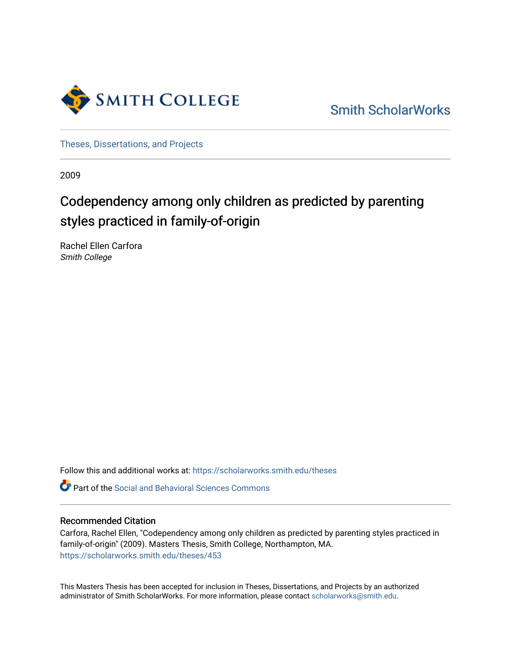

[Smith ScholarWorks](https://scholarworks.smith.edu/) 

[Theses, Dissertations, and Projects](https://scholarworks.smith.edu/theses) 

2009

# Codependency among only children as predicted by parenting styles practiced in family-of-origin

Rachel Ellen Carfora Smith College

Follow this and additional works at: [https://scholarworks.smith.edu/theses](https://scholarworks.smith.edu/theses?utm_source=scholarworks.smith.edu%2Ftheses%2F453&utm_medium=PDF&utm_campaign=PDFCoverPages) 

Part of the [Social and Behavioral Sciences Commons](http://network.bepress.com/hgg/discipline/316?utm_source=scholarworks.smith.edu%2Ftheses%2F453&utm_medium=PDF&utm_campaign=PDFCoverPages) 

#### Recommended Citation

Carfora, Rachel Ellen, "Codependency among only children as predicted by parenting styles practiced in family-of-origin" (2009). Masters Thesis, Smith College, Northampton, MA. [https://scholarworks.smith.edu/theses/453](https://scholarworks.smith.edu/theses/453?utm_source=scholarworks.smith.edu%2Ftheses%2F453&utm_medium=PDF&utm_campaign=PDFCoverPages) 

This Masters Thesis has been accepted for inclusion in Theses, Dissertations, and Projects by an authorized administrator of Smith ScholarWorks. For more information, please contact [scholarworks@smith.edu](mailto:scholarworks@smith.edu).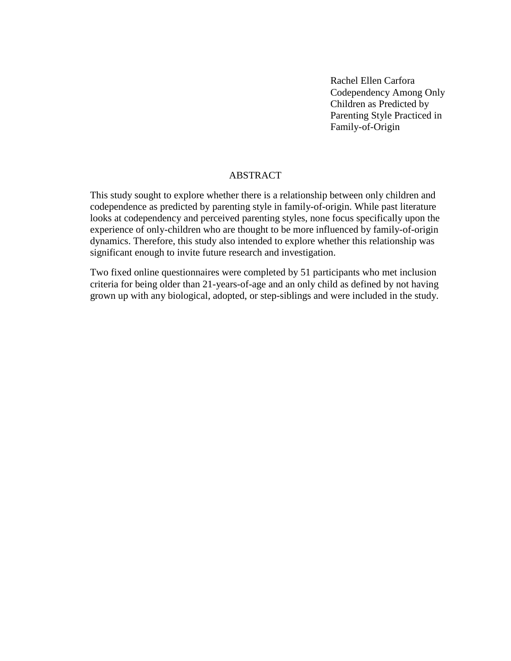Rachel Ellen Carfora Codependency Among Only Children as Predicted by Parenting Style Practiced in Family-of-Origin

## ABSTRACT

This study sought to explore whether there is a relationship between only children and codependence as predicted by parenting style in family-of-origin. While past literature looks at codependency and perceived parenting styles, none focus specifically upon the experience of only-children who are thought to be more influenced by family-of-origin dynamics. Therefore, this study also intended to explore whether this relationship was significant enough to invite future research and investigation.

Two fixed online questionnaires were completed by 51 participants who met inclusion criteria for being older than 21-years-of-age and an only child as defined by not having grown up with any biological, adopted, or step-siblings and were included in the study.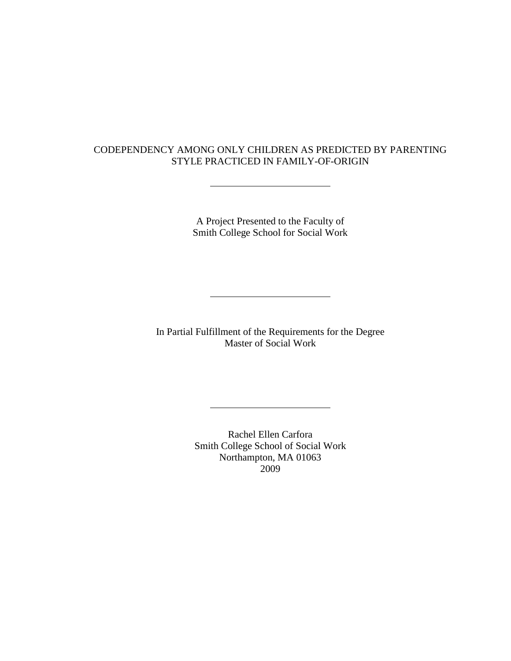## CODEPENDENCY AMONG ONLY CHILDREN AS PREDICTED BY PARENTING STYLE PRACTICED IN FAMILY-OF-ORIGIN

A Project Presented to the Faculty of Smith College School for Social Work

In Partial Fulfillment of the Requirements for the Degree Master of Social Work

> Rachel Ellen Carfora Smith College School of Social Work Northampton, MA 01063 2009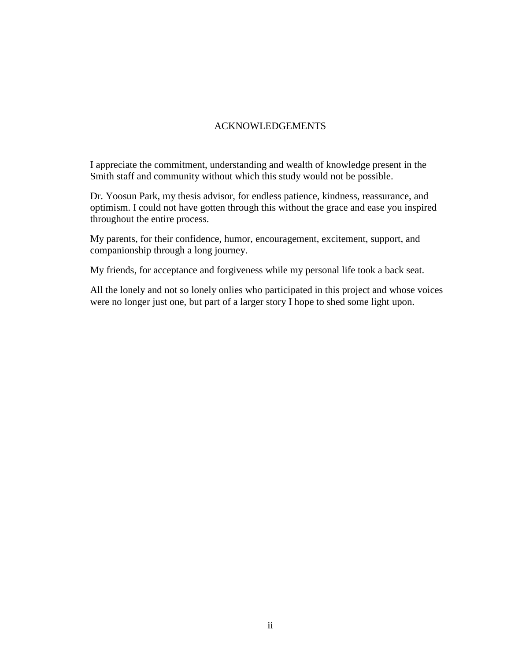## ACKNOWLEDGEMENTS

I appreciate the commitment, understanding and wealth of knowledge present in the Smith staff and community without which this study would not be possible.

Dr. Yoosun Park, my thesis advisor, for endless patience, kindness, reassurance, and optimism. I could not have gotten through this without the grace and ease you inspired throughout the entire process.

My parents, for their confidence, humor, encouragement, excitement, support, and companionship through a long journey.

My friends, for acceptance and forgiveness while my personal life took a back seat.

All the lonely and not so lonely onlies who participated in this project and whose voices were no longer just one, but part of a larger story I hope to shed some light upon.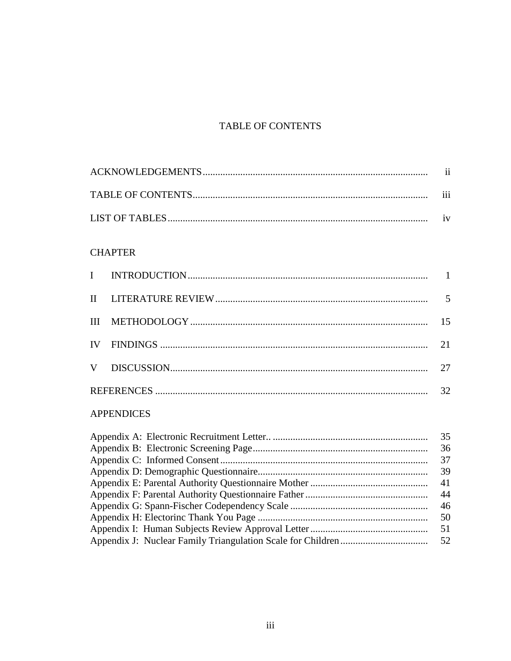## TABLE OF CONTENTS

| $\cdots$<br>111 |
|-----------------|
|                 |

## **CHAPTER**

|  | 32 |
|--|----|

## **APPENDICES**

| 35  |
|-----|
| 36  |
| 37  |
| 39  |
| 41  |
| 44  |
| 46  |
| -50 |
| 51  |
|     |
|     |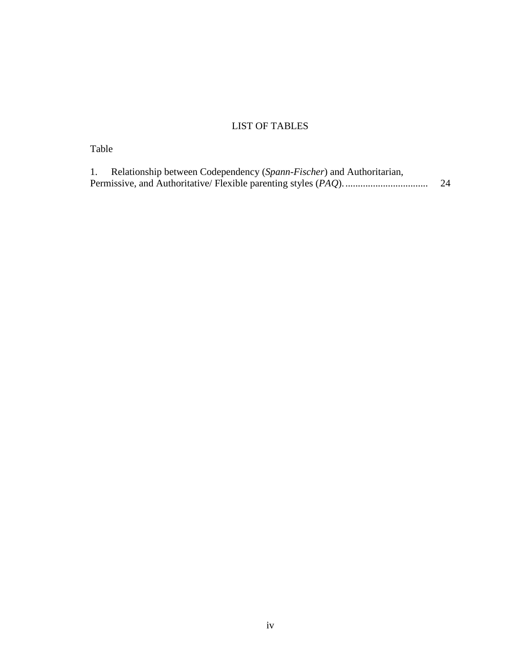## LIST OF TABLES

## Table

| Relationship between Codependency (Spann-Fischer) and Authoritarian, |    |  |  |
|----------------------------------------------------------------------|----|--|--|
|                                                                      | 24 |  |  |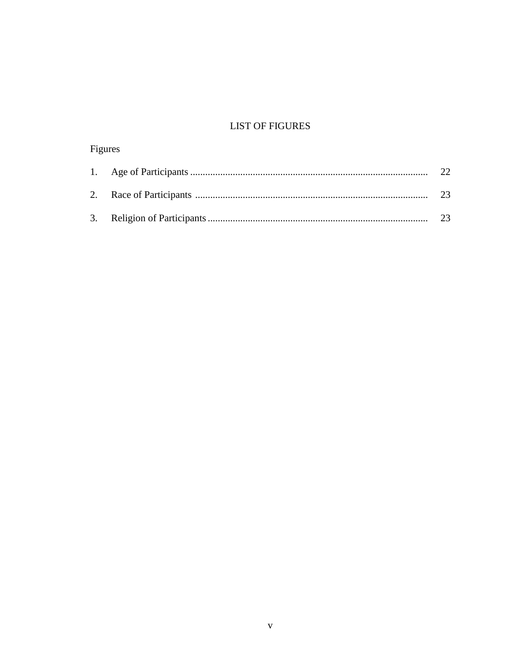## **LIST OF FIGURES**

| Figures |  |              |  |  |
|---------|--|--------------|--|--|
|         |  | $22^{\circ}$ |  |  |
|         |  | 23           |  |  |
|         |  |              |  |  |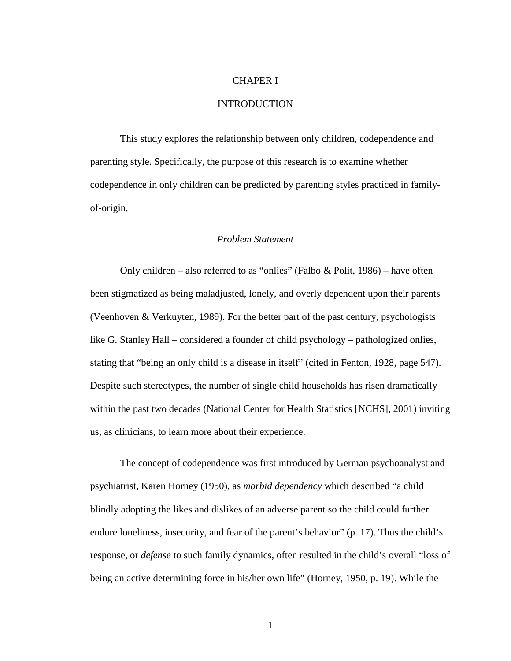#### CHAPER I

#### **INTRODUCTION**

This study explores the relationship between only children, codependence and parenting style. Specifically, the purpose of this research is to examine whether codependence in only children can be predicted by parenting styles practiced in familyof-origin.

#### *Problem Statement*

Only children – also referred to as "onlies" (Falbo & Polit, 1986) – have often been stigmatized as being maladjusted, lonely, and overly dependent upon their parents (Veenhoven & Verkuyten, 1989). For the better part of the past century, psychologists like G. Stanley Hall – considered a founder of child psychology – pathologized onlies, stating that "being an only child is a disease in itself" (cited in Fenton, 1928, page 547). Despite such stereotypes, the number of single child households has risen dramatically within the past two decades (National Center for Health Statistics [NCHS], 2001) inviting us, as clinicians, to learn more about their experience.

The concept of codependence was first introduced by German psychoanalyst and psychiatrist, Karen Horney (1950), as *morbid dependency* which described "a child blindly adopting the likes and dislikes of an adverse parent so the child could further endure loneliness, insecurity, and fear of the parent's behavior" (p. 17). Thus the child's response, or *defense* to such family dynamics, often resulted in the child's overall "loss of being an active determining force in his/her own life" (Horney, 1950, p. 19). While the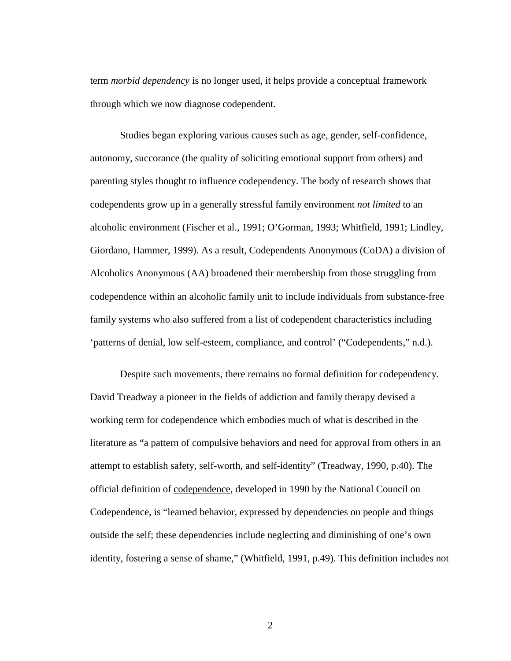term *morbid dependency* is no longer used, it helps provide a conceptual framework through which we now diagnose codependent.

Studies began exploring various causes such as age, gender, self-confidence, autonomy, succorance (the quality of soliciting emotional support from others) and parenting styles thought to influence codependency. The body of research shows that codependents grow up in a generally stressful family environment *not limited* to an alcoholic environment (Fischer et al., 1991; O'Gorman, 1993; Whitfield, 1991; Lindley, Giordano, Hammer, 1999 ). As a result, Codependents Anonymous (CoDA) a division of Alcoholics Anonymous (AA) broadened their membership from those struggling from codependence within an alcoholic family unit to include individuals from substance-free family systems who also suffered from a list of codependent characteristics including 'patterns of denial, low self-esteem, compliance, and control' ("Codependents," n.d.).

Despite such movements, there remains no formal definition for codependency. David Treadway a pioneer in the fields of addiction and family therapy devised a working term for codependence which embodies much of what is described in the literature as "a pattern of compulsive behaviors and need for approval from others in an attempt to establish safety, self-worth, and self-identity" (Treadway, 1990, p.40). The official definition of codependence, developed in 1990 by the National Council on Codependence, is "learned behavior, expressed by dependencies on people and things outside the self; these dependencies include neglecting and diminishing of one's own identity, fostering a sense of shame," (Whitfield, 1991, p.49). This definition includes not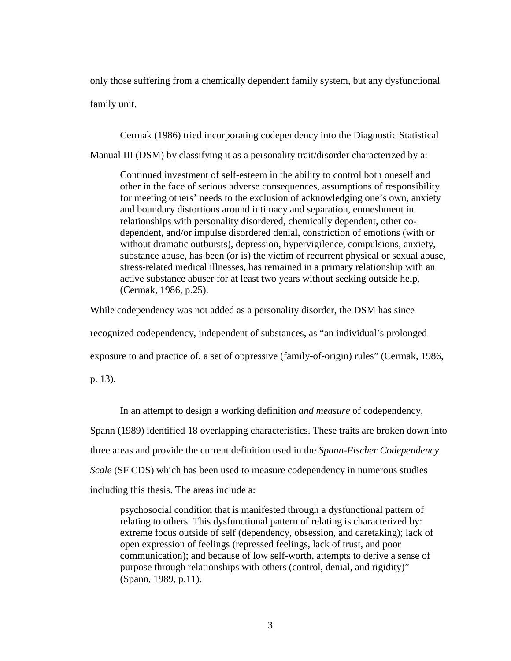only those suffering from a chemically dependent family system, but any dysfunctional family unit.

Cermak (1986) tried incorporating codependency into the Diagnostic Statistical Manual III (DSM) by classifying it as a personality trait/disorder characterized by a:

Continued investment of self-esteem in the ability to control both oneself and other in the face of serious adverse consequences, assumptions of responsibility for meeting others' needs to the exclusion of acknowledging one's own, anxiety and boundary distortions around intimacy and separation, enmeshment in relationships with personality disordered, chemically dependent, other codependent, and/or impulse disordered denial, constriction of emotions (with or without dramatic outbursts), depression, hypervigilence, compulsions, anxiety, substance abuse, has been (or is) the victim of recurrent physical or sexual abuse, stress-related medical illnesses, has remained in a primary relationship with an active substance abuser for at least two years without seeking outside help, (Cermak, 1986, p.25).

While codependency was not added as a personality disorder, the DSM has since

recognized codependency, independent of substances, as "an individual's prolonged

exposure to and practice of, a set of oppressive (family-of-origin) rules" (Cermak, 1986,

p. 13).

In an attempt to design a working definition *and measure* of codependency,

Spann (1989) identified 18 overlapping characteristics. These traits are broken down into

three areas and provide the current definition used in the *Spann-Fischer Codependency* 

*Scale* (SF CDS) which has been used to measure codependency in numerous studies

including this thesis. The areas include a:

psychosocial condition that is manifested through a dysfunctional pattern of relating to others. This dysfunctional pattern of relating is characterized by: extreme focus outside of self (dependency, obsession, and caretaking); lack of open expression of feelings (repressed feelings, lack of trust, and poor communication); and because of low self-worth, attempts to derive a sense of purpose through relationships with others (control, denial, and rigidity)" (Spann, 1989, p.11).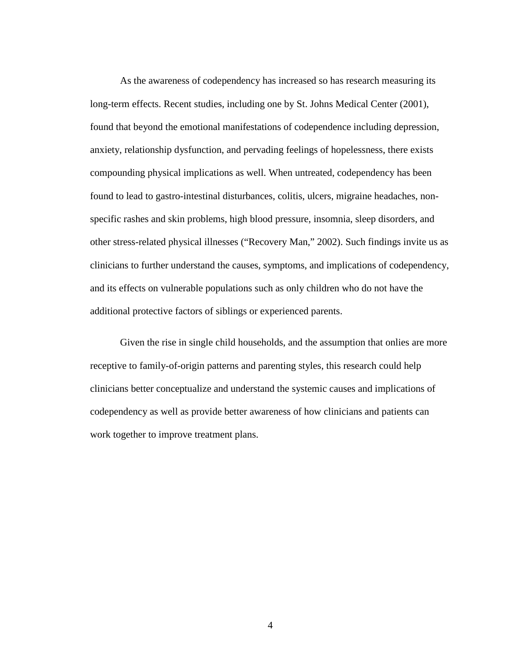As the awareness of codependency has increased so has research measuring its long-term effects. Recent studies, including one by St. Johns Medical Center (2001), found that beyond the emotional manifestations of codependence including depression, anxiety, relationship dysfunction, and pervading feelings of hopelessness, there exists compounding physical implications as well. When untreated, codependency has been found to lead to gastro-intestinal disturbances, colitis, ulcers, migraine headaches, nonspecific rashes and skin problems, high blood pressure, insomnia, sleep disorders, and other stress-related physical illnesses ("Recovery Man," 2002). Such findings invite us as clinicians to further understand the causes, symptoms, and implications of codependency, and its effects on vulnerable populations such as only children who do not have the additional protective factors of siblings or experienced parents.

Given the rise in single child households, and the assumption that onlies are more receptive to family-of-origin patterns and parenting styles, this research could help clinicians better conceptualize and understand the systemic causes and implications of codependency as well as provide better awareness of how clinicians and patients can work together to improve treatment plans.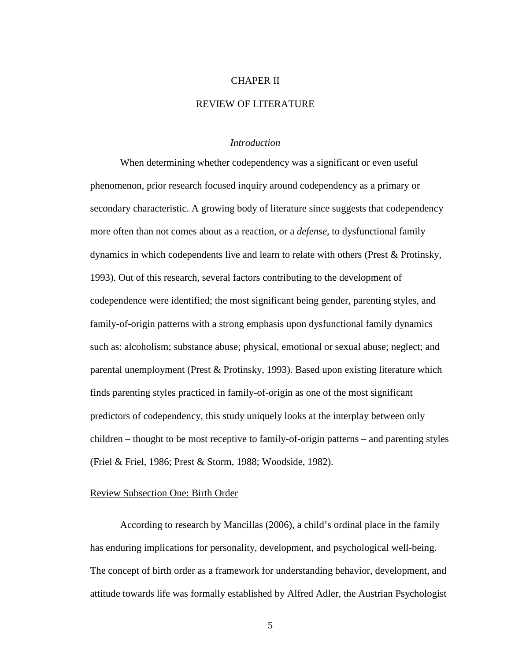#### CHAPER II

#### REVIEW OF LITERATURE

#### *Introduction*

When determining whether codependency was a significant or even useful phenomenon, prior research focused inquiry around codependency as a primary or secondary characteristic. A growing body of literature since suggests that codependency more often than not comes about as a reaction, or a *defense,* to dysfunctional family dynamics in which codependents live and learn to relate with others (Prest & Protinsky, 1993). Out of this research, several factors contributing to the development of codependence were identified; the most significant being gender, parenting styles, and family-of-origin patterns with a strong emphasis upon dysfunctional family dynamics such as: alcoholism; substance abuse; physical, emotional or sexual abuse; neglect; and parental unemployment (Prest & Protinsky, 1993). Based upon existing literature which finds parenting styles practiced in family-of-origin as one of the most significant predictors of codependency, this study uniquely looks at the interplay between only children – thought to be most receptive to family-of-origin patterns – and parenting styles (Friel & Friel, 1986; Prest & Storm, 1988; Woodside, 1982).

#### Review Subsection One: Birth Order

According to research by Mancillas (2006), a child's ordinal place in the family has enduring implications for personality, development, and psychological well-being. The concept of birth order as a framework for understanding behavior, development, and attitude towards life was formally established by Alfred Adler, the Austrian Psychologist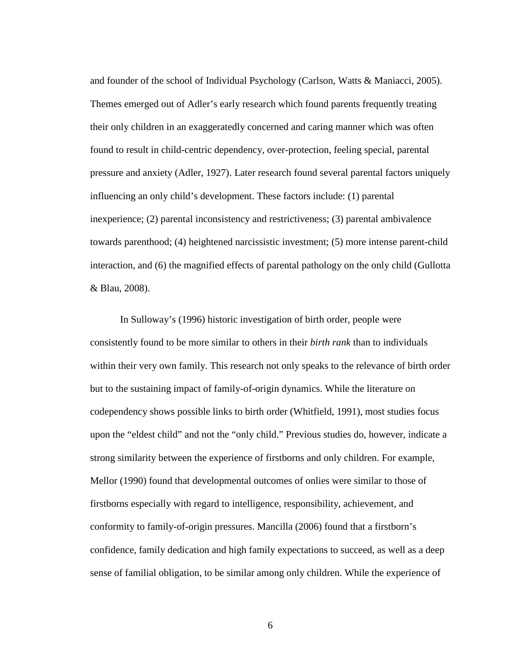and founder of the school of Individual Psychology (Carlson, Watts & Maniacci, 2005). Themes emerged out of Adler's early research which found parents frequently treating their only children in an exaggeratedly concerned and caring manner which was often found to result in child-centric dependency, over-protection, feeling special, parental pressure and anxiety (Adler, 1927). Later research found several parental factors uniquely influencing an only child's development. These factors include: (1) parental inexperience; (2) parental inconsistency and restrictiveness; (3) parental ambivalence towards parenthood; (4) heightened narcissistic investment; (5) more intense parent-child interaction, and (6) the magnified effects of parental pathology on the only child (Gullotta & Blau, 2008).

In Sulloway's (1996) historic investigation of birth order, people were consistently found to be more similar to others in their *birth rank* than to individuals within their very own family. This research not only speaks to the relevance of birth order but to the sustaining impact of family-of-origin dynamics. While the literature on codependency shows possible links to birth order (Whitfield, 1991), most studies focus upon the "eldest child" and not the "only child." Previous studies do, however, indicate a strong similarity between the experience of firstborns and only children. For example, Mellor (1990) found that developmental outcomes of onlies were similar to those of firstborns especially with regard to intelligence, responsibility, achievement, and conformity to family-of-origin pressures. Mancilla (2006) found that a firstborn's confidence, family dedication and high family expectations to succeed, as well as a deep sense of familial obligation, to be similar among only children. While the experience of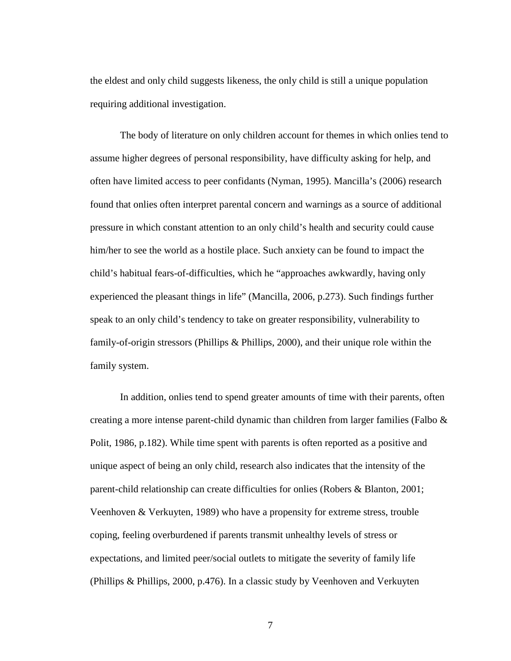the eldest and only child suggests likeness, the only child is still a unique population requiring additional investigation.

The body of literature on only children account for themes in which onlies tend to assume higher degrees of personal responsibility, have difficulty asking for help, and often have limited access to peer confidants (Nyman, 1995). Mancilla's (2006) research found that onlies often interpret parental concern and warnings as a source of additional pressure in which constant attention to an only child's health and security could cause him/her to see the world as a hostile place. Such anxiety can be found to impact the child's habitual fears-of-difficulties, which he "approaches awkwardly, having only experienced the pleasant things in life" (Mancilla, 2006, p.273). Such findings further speak to an only child's tendency to take on greater responsibility, vulnerability to family-of-origin stressors (Phillips & Phillips, 2000), and their unique role within the family system.

In addition, onlies tend to spend greater amounts of time with their parents, often creating a more intense parent-child dynamic than children from larger families (Falbo & Polit, 1986, p.182). While time spent with parents is often reported as a positive and unique aspect of being an only child, research also indicates that the intensity of the parent-child relationship can create difficulties for onlies (Robers & Blanton, 2001; Veenhoven & Verkuyten, 1989) who have a propensity for extreme stress, trouble coping, feeling overburdened if parents transmit unhealthy levels of stress or expectations, and limited peer/social outlets to mitigate the severity of family life (Phillips & Phillips, 2000, p.476). In a classic study by Veenhoven and Verkuyten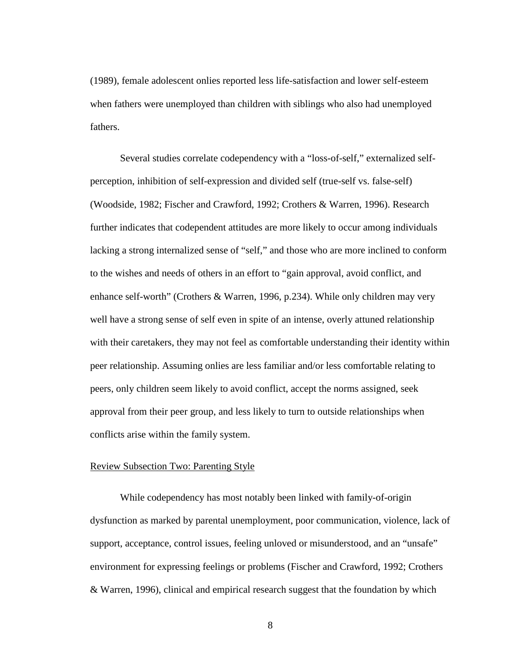(1989), female adolescent onlies reported less life-satisfaction and lower self-esteem when fathers were unemployed than children with siblings who also had unemployed fathers.

Several studies correlate codependency with a "loss-of-self," externalized selfperception, inhibition of self-expression and divided self (true-self vs. false-self) (Woodside, 1982; Fischer and Crawford, 1992; Crothers & Warren, 1996). Research further indicates that codependent attitudes are more likely to occur among individuals lacking a strong internalized sense of "self," and those who are more inclined to conform to the wishes and needs of others in an effort to "gain approval, avoid conflict, and enhance self-worth" (Crothers & Warren, 1996, p.234). While only children may very well have a strong sense of self even in spite of an intense, overly attuned relationship with their caretakers, they may not feel as comfortable understanding their identity within peer relationship. Assuming onlies are less familiar and/or less comfortable relating to peers, only children seem likely to avoid conflict, accept the norms assigned, seek approval from their peer group, and less likely to turn to outside relationships when conflicts arise within the family system.

#### Review Subsection Two: Parenting Style

While codependency has most notably been linked with family-of-origin dysfunction as marked by parental unemployment, poor communication, violence, lack of support, acceptance, control issues, feeling unloved or misunderstood, and an "unsafe" environment for expressing feelings or problems (Fischer and Crawford, 1992; Crothers & Warren, 1996), clinical and empirical research suggest that the foundation by which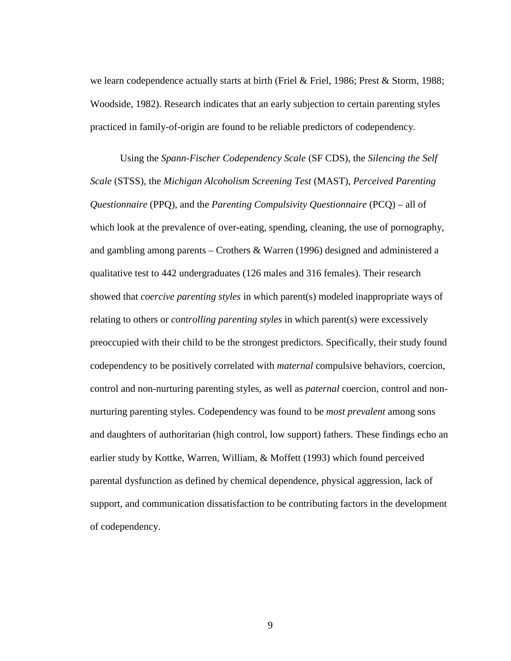we learn codependence actually starts at birth (Friel & Friel, 1986; Prest & Storm, 1988; Woodside, 1982). Research indicates that an early subjection to certain parenting styles practiced in family-of-origin are found to be reliable predictors of codependency.

Using the *Spann-Fischer Codependency Scale* (SF CDS), the *Silencing the Self Scale* (STSS), the *Michigan Alcoholism Screening Test* (MAST), *Perceived Parenting Questionnaire* (PPQ), and the *Parenting Compulsivity Questionnaire* (PCQ) – all of which look at the prevalence of over-eating, spending, cleaning, the use of pornography, and gambling among parents – Crothers & Warren (1996) designed and administered a qualitative test to 442 undergraduates (126 males and 316 females). Their research showed that *coercive parenting styles* in which parent(s) modeled inappropriate ways of relating to others or *controlling parenting styles* in which parent(s) were excessively preoccupied with their child to be the strongest predictors. Specifically, their study found codependency to be positively correlated with *maternal* compulsive behaviors, coercion, control and non-nurturing parenting styles, as well as *paternal* coercion, control and nonnurturing parenting styles. Codependency was found to be *most prevalent* among sons and daughters of authoritarian (high control, low support) fathers. These findings echo an earlier study by Kottke, Warren, William, & Moffett (1993) which found perceived parental dysfunction as defined by chemical dependence, physical aggression, lack of support, and communication dissatisfaction to be contributing factors in the development of codependency.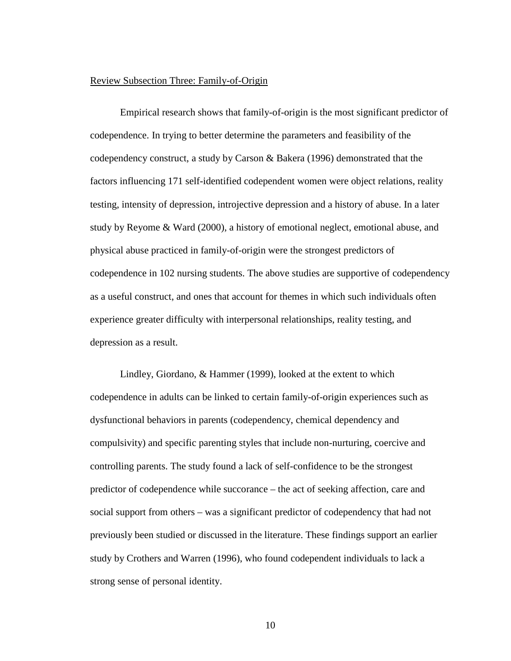#### Review Subsection Three: Family-of-Origin

Empirical research shows that family-of-origin is the most significant predictor of codependence. In trying to better determine the parameters and feasibility of the codependency construct, a study by Carson & Bakera (1996) demonstrated that the factors influencing 171 self-identified codependent women were object relations, reality testing, intensity of depression, introjective depression and a history of abuse. In a later study by Reyome & Ward (2000), a history of emotional neglect, emotional abuse, and physical abuse practiced in family-of-origin were the strongest predictors of codependence in 102 nursing students. The above studies are supportive of codependency as a useful construct, and ones that account for themes in which such individuals often experience greater difficulty with interpersonal relationships , reality testing, and depression as a result.

Lindley, Giordano, & Hammer (1999), looked at the extent to which codependence in adults can be linked to certain family-of-origin experiences such as dysfunctional behaviors in parents (codependency, chemical dependency and compulsivity) and specific parenting styles that include non-nurturing, coercive and controlling parents. The study found a lack of self-confidence to be the strongest predictor of codependence while succorance – the act of seeking affection, care and social support from others – was a significant predictor of codependency that had not previously been studied or discussed in the literature. These findings support an earlier study by Crothers and Warren (1996), who found codependent individuals to lack a strong sense of personal identity.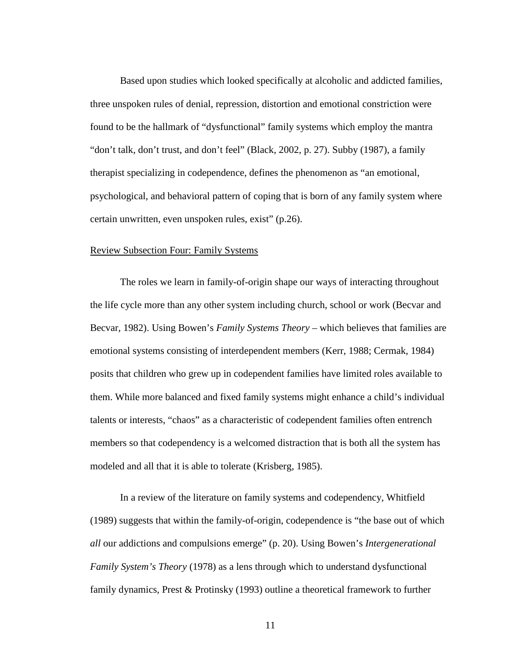Based upon studies which looked specifically at alcoholic and addicted families, three unspoken rules of denial, repression, distortion and emotional constriction were found to be the hallmark of "dysfunctional" family systems which employ the mantra "don't talk, don't trust, and don't feel" (Black, 2002, p. 27). Subby (1987), a family therapist specializing in codependence, defines the phenomenon as "an emotional, psychological, and behavioral pattern of coping that is born of any family system where certain unwritten, even unspoken rules, exist" (p.26).

#### Review Subsection Four: Family Systems

The roles we learn in family-of-origin shape our ways of interacting throughout the life cycle more than any other system including church, school or work (Becvar and Becvar, 1982). Using Bowen's *Family Systems Theory –* which believes that families are emotional systems consisting of interdependent members (Kerr, 1988; Cermak, 1984) posits that children who grew up in codependent families have limited roles available to them. While more balanced and fixed family systems might enhance a child's individual talents or interests, "chaos" as a characteristic of codependent families often entrench members so that codependency is a welcomed distraction that is both all the system has modeled and all that it is able to tolerate (Krisberg, 1985).

In a review of the literature on family systems and codependency, Whitfield (1989) suggests that within the family-of-origin, codependence is "the base out of which *all* our addictions and compulsions emerge" (p. 20). Using Bowen's *Intergenerational Family System's Theory* (1978) as a lens through which to understand dysfunctional family dynamics, Prest & Protinsky (1993) outline a theoretical framework to further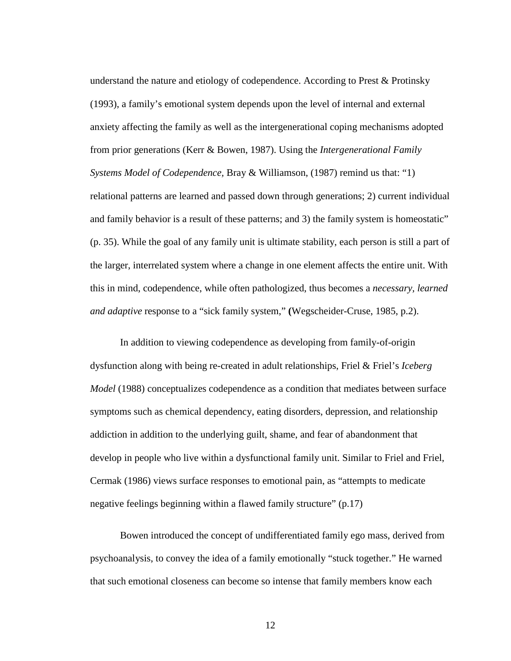understand the nature and etiology of codependence. According to Prest & Protinsky (1993), a family's emotional system depends upon the level of internal and external anxiety affecting the family as well as the intergenerational coping mechanisms adopted from prior generations (Kerr & Bowen, 1987). Using the *Intergenerational Family Systems Model of Codependence,* Bray & Williamson, (1987) remind us that: "1) relational patterns are learned and passed down through generations; 2) current individual and family behavior is a result of these patterns; and 3) the family system is homeostatic" (p. 35). While the goal of any family unit is ultimate stability, each person is still a part of the larger, interrelated system where a change in one element affects the entire unit. With this in mind, codependence, while often pathologized, thus becomes a *necessary, learned and adaptive* response to a "sick family system," **(**Wegscheider-Cruse, 1985, p.2).

In addition to viewing codependence as developing from family-of-origin dysfunction along with being re-created in adult relationships, Friel & Friel's *Iceberg Model* (1988) conceptualizes codependence as a condition that mediates between surface symptoms such as chemical dependency, eating disorders, depression, and relationship addiction in addition to the underlying guilt, shame, and fear of abandonment that develop in people who live within a dysfunctional family unit. Similar to Friel and Friel, Cermak (1986) views surface responses to emotional pain, as "attempts to medicate negative feelings beginning within a flawed family structure" (p.17)

Bowen introduced the concept of undifferentiated family ego mass, derived from psychoanalysis, to convey the idea of a family emotionally "stuck together." He warned that such emotional closeness can become so intense that family members know each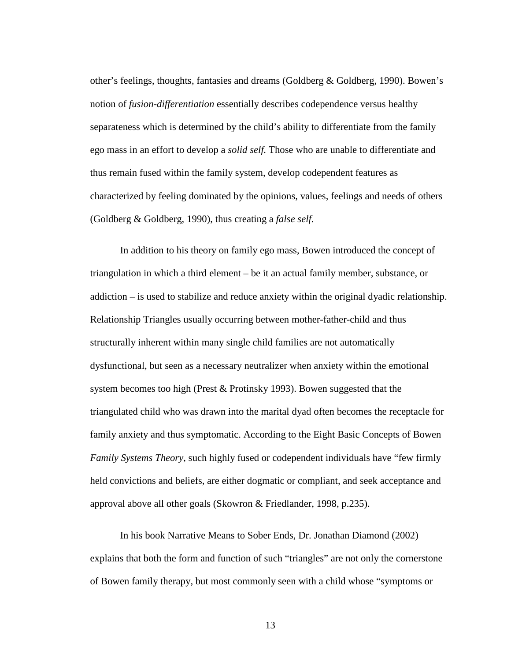other's feelings, thoughts, fantasies and dreams (Goldberg & Goldberg, 1990). Bowen's notion of *fusion-differentiation* essentially describes codependence versus healthy separateness which is determined by the child's ability to differentiate from the family ego mass in an effort to develop a *solid self.* Those who are unable to differentiate and thus remain fused within the family system, develop codependent features as characterized by feeling dominated by the opinions, values, feelings and needs of others (Goldberg & Goldberg, 1990), thus creating a *false self.*

In addition to his theory on family ego mass, Bowen introduced the concept of triangulation in which a third element – be it an actual family member, substance, or addiction – is used to stabilize and reduce anxiety within the original dyadic relationship. Relationship Triangles usually occurring between mother-father-child and thus structurally inherent within many single child families are not automatically dysfunctional, but seen as a necessary neutralizer when anxiety within the emotional system becomes too high (Prest & Protinsky 1993). Bowen suggested that the triangulated child who was drawn into the marital dyad often becomes the receptacle for family anxiety and thus symptomatic. According to the Eight Basic Concepts of Bowen *Family Systems Theory*, such highly fused or codependent individuals have "few firmly held convictions and beliefs, are either dogmatic or compliant, and seek acceptance and approval above all other goals (Skowron & Friedlander, 1998, p.235).

In his book Narrative Means to Sober Ends, Dr. Jonathan Diamond (2002) explains that both the form and function of such "triangles" are not only the cornerstone of Bowen family therapy, but most commonly seen with a child whose "symptoms or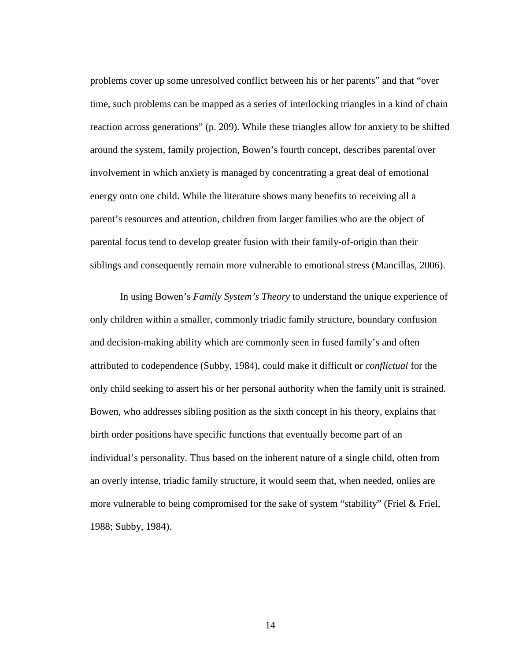problems cover up some unresolved conflict between his or her parents" and that "over time, such problems can be mapped as a series of interlocking triangles in a kind of chain reaction across generations" (p. 209). While these triangles allow for anxiety to be shifted around the system, family projection, Bowen's fourth concept, describes parental over involvement in which anxiety is managed by concentrating a great deal of emotional energy onto one child. While the literature shows many benefits to receiving all a parent's resources and attention, children from larger families who are the object of parental focus tend to develop greater fusion with their family-of-origin than their siblings and consequently remain more vulnerable to emotional stress (Mancillas, 2006).

In using Bowen's *Family System's Theory* to understand the unique experience of only children within a smaller, commonly triadic family structure, boundary confusion and decision-making ability which are commonly seen in fused family's and often attributed to codependence (Subby, 1984), could make it difficult or *conflictual* for the only child seeking to assert his or her personal authority when the family unit is strained. Bowen, who addresses sibling position as the sixth concept in his theory, explains that birth order positions have specific functions that eventually become part of an individual's personality. Thus based on the inherent nature of a single child, often from an overly intense, triadic family structure, it would seem that, when needed, onlies are more vulnerable to being compromised for the sake of system "stability" (Friel & Friel, 1988; Subby, 1984).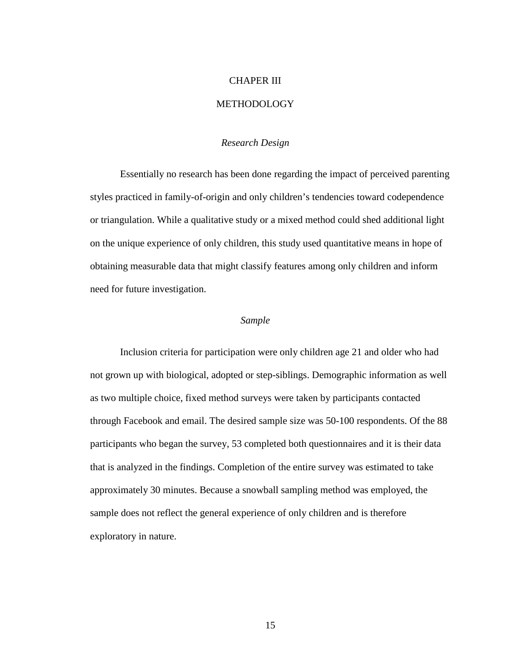## CHAPER III

#### **METHODOLOGY**

#### *Research Design*

Essentially no research has been done regarding the impact of perceived parenting styles practiced in family-of-origin and only children's tendencies toward codependence or triangulation. While a qualitative study or a mixed method could shed additional light on the unique experience of only children, this study used quantitative means in hope of obtaining measurable data that might classify features among only children and inform need for future investigation.

#### *Sample*

Inclusion criteria for participation were only children age 21 and older who had not grown up with biological, adopted or step-siblings. Demographic information as well as two multiple choice, fixed method surveys were taken by participants contacted through Facebook and email. The desired sample size was 50-100 respondents. Of the 88 participants who began the survey, 53 completed both questionnaires and it is their data that is analyzed in the findings. Completion of the entire survey was estimated to take approximately 30 minutes. Because a snowball sampling method was employed, the sample does not reflect the general experience of only children and is therefore exploratory in nature.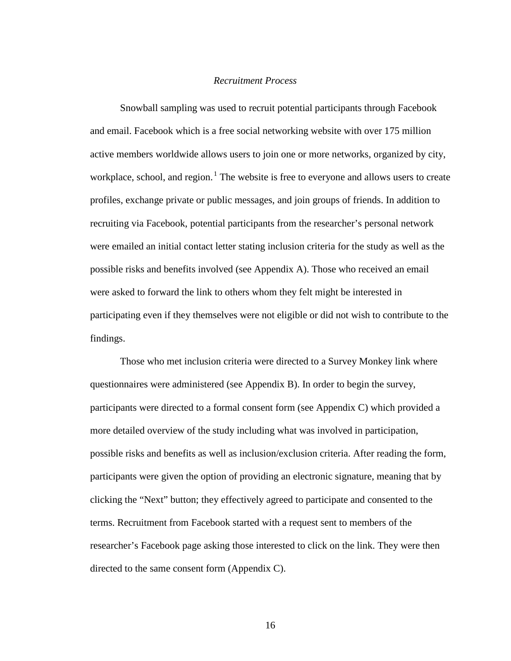#### *Recruitment Process*

Snowball sampling was used to recruit potential participants through Facebook and email. Facebook which is a free social networking website with over 175 million active members worldwide allows users to join one or more networks, organized by city, workplace, school, and region.<sup>[1](#page-25-0)</sup> The website is free to everyone and allows users to create profiles, exchange private or public messages, and join groups of friends. In addition to recruiting via Facebook, potential participants from the researcher's personal network were emailed an initial contact letter stating inclusion criteria for the study as well as the possible risks and benefits involved (see Appendix A). Those who received an email were asked to forward the link to others whom they felt might be interested in participating even if they themselves were not eligible or did not wish to contribute to the findings.

Those who met inclusion criteria were directed to a Survey Monkey link where questionnaires were administered (see Appendix B). In order to begin the survey, participants were directed to a formal consent form (see Appendix C) which provided a more detailed overview of the study including what was involved in participation, possible risks and benefits as well as inclusion/exclusion criteria. After reading the form, participants were given the option of providing an electronic signature, meaning that by clicking the "Next" button; they effectively agreed to participate and consented to the terms. Recruitment from Facebook started with a request sent to members of the researcher's Facebook page asking those interested to click on the link. They were then directed to the same consent form (Appendix C).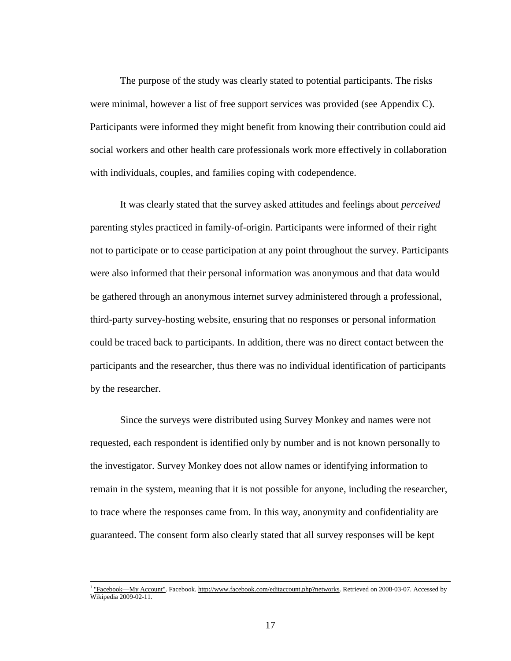The purpose of the study was clearly stated to potential participants. The risks were minimal, however a list of free support services was provided (see Appendix C). Participants were informed they might benefit from knowing their contribution could aid social workers and other health care professionals work more effectively in collaboration with individuals, couples, and families coping with codependence.

It was clearly stated that the survey asked attitudes and feelings about *perceived* parenting styles practiced in family-of-origin. Participants were informed of their right not to participate or to cease participation at any point throughout the survey. Participants were also informed that their personal information was anonymous and that data would be gathered through an anonymous internet survey administered through a professional, third-party survey-hosting website, ensuring that no responses or personal information could be traced back to participants. In addition, there was no direct contact between the participants and the researcher, thus there was no individual identification of participants by the researcher.

Since the surveys were distributed using Survey Monkey and names were not requested, each respondent is identified only by number and is not known personally to the investigator. Survey Monkey does not allow names or identifying information to remain in the system, meaning that it is not possible for anyone, including the researcher, to trace where the responses came from. In this way, anonymity and confidentiality are guaranteed. The consent form also clearly stated that all survey responses will be kept

[<sup>&</sup>quot;Facebook—My Account".](http://www.facebook.com/editaccount.php?networks) Facebook[. http://www.facebook.com/editaccount.php?networks.](http://www.facebook.com/editaccount.php?networks) Retrieved on 2008-03-07. Accessed by Wikipedia 2009-02-11.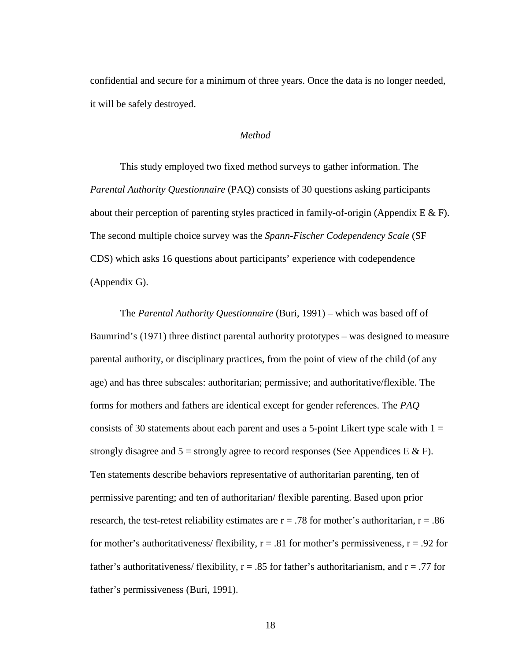confidential and secure for a minimum of three years. Once the data is no longer needed, it will be safely destroyed.

#### *Method*

This study employed two fixed method surveys to gather information. The *Parental Authority Questionnaire* (PAQ) consists of 30 questions asking participants about their perception of parenting styles practiced in family-of-origin (Appendix  $E \& F$ ). The second multiple choice survey was the *Spann-Fischer Codependency Scale* (SF CDS) which asks 16 questions about participants' experience with codependence (Appendix G).

The *Parental Authority Questionnaire* (Buri, 1991) – which was based off of Baumrind's (1971) three distinct parental authority prototypes – was designed to measure parental authority, or disciplinary practices, from the point of view of the child (of any age) and has three subscales: authoritarian; permissive; and authoritative/flexible. The forms for mothers and fathers are identical except for gender references. The *PAQ*  consists of 30 statements about each parent and uses a 5-point Likert type scale with  $1 =$ strongly disagree and  $5 =$  strongly agree to record responses (See Appendices E & F). Ten statements describe behaviors representative of authoritarian parenting, ten of permissive parenting; and ten of authoritarian/ flexible parenting. Based upon prior research, the test-retest reliability estimates are  $r = .78$  for mother's authoritarian,  $r = .86$ for mother's authoritativeness/ flexibility,  $r = .81$  for mother's permissiveness,  $r = .92$  for father's authoritativeness/ flexibility,  $r = .85$  for father's authoritarianism, and  $r = .77$  for father's permissiveness (Buri, 1991).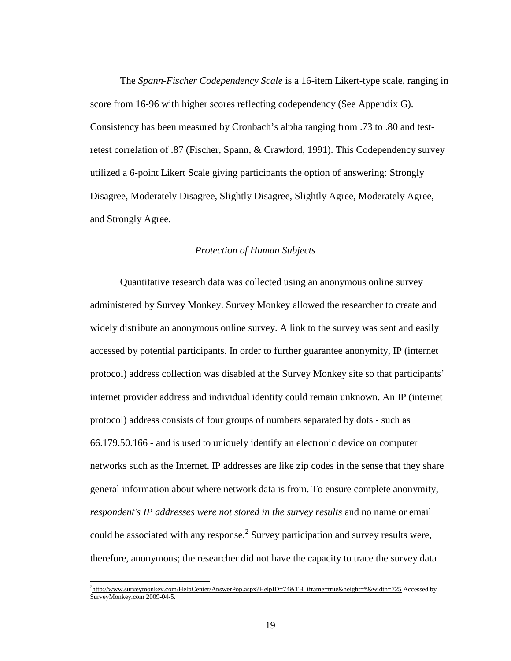<span id="page-25-0"></span>The *Spann-Fischer Codependency Scale* is a 16-item Likert-type scale, ranging in score from 16-96 with higher scores reflecting codependency (See Appendix G). Consistency has been measured by Cronbach's alpha ranging from .73 to .80 and testretest correlation of .87 (Fischer, Spann, & Crawford, 1991). This Codependency survey utilized a 6-point Likert Scale giving participants the option of answering: Strongly Disagree, Moderately Disagree, Slightly Disagree, Slightly Agree, Moderately Agree, and Strongly Agree.

#### *Protection of Human Subjects*

Quantitative research data was collected using an anonymous online survey administered by Survey Monkey. Survey Monkey allowed the researcher to create and widely distribute an anonymous online survey. A link to the survey was sent and easily accessed by potential participants. In order to further guarantee anonymity, IP (internet protocol) address collection was disabled at the Survey Monkey site so that participants' internet provider address and individual identity could remain unknown. An IP (internet protocol) address consists of four groups of numbers separated by dots - such as 66.179.50.166 - and is used to uniquely identify an electronic device on computer networks such as the Internet. IP addresses are like zip codes in the sense that they share general information about where network data is from. To ensure complete anonymity, *respondent's IP addresses were not stored in the survey results* and no name or email could be associated with any response.<sup>2</sup> Survey participation and survey results were, therefore, anonymous; the researcher did not have the capacity to trace the survey data

 $\frac{1}{2}$ [http://www.surveymonkey.com/HelpCenter/AnswerPop.aspx?HelpID=74&TB\\_iframe=true&height=\\*&width=725](http://www.surveymonkey.com/HelpCenter/AnswerPop.aspx?HelpID=74&TB_iframe=true&height=*&width=725) Accessed by SurveyMonkey.com 2009-04-5.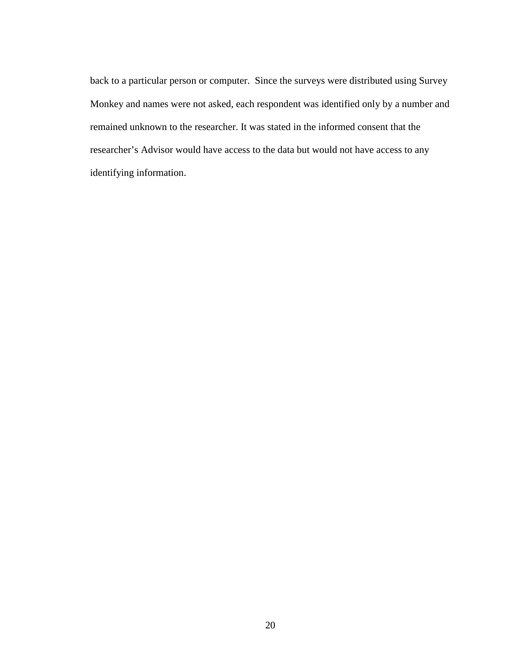back to a particular person or computer. Since the surveys were distributed using Survey Monkey and names were not asked, each respondent was identified only by a number and remained unknown to the researcher. It was stated in the informed consent that the researcher's Advisor would have access to the data but would not have access to any identifying information.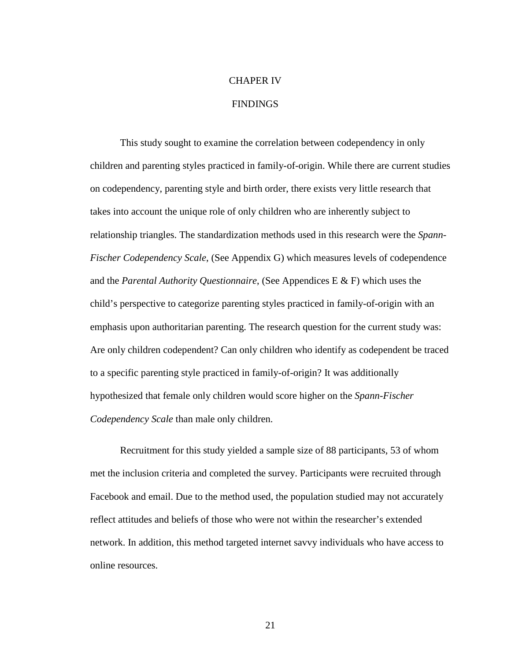# CHAPER IV

### FINDINGS

This study sought to examine the correlation between codependency in only children and parenting styles practiced in family-of-origin. While there are current studies on codependency, parenting style and birth order, there exists very little research that takes into account the unique role of only children who are inherently subject to relationship triangles. The standardization methods used in this research were the *Spann-Fischer Codependency Scale*, (See Appendix G) which measures levels of codependence and the *Parental Authority Questionnaire*, (See Appendices E & F) which uses the child's perspective to categorize parenting styles practiced in family-of-origin with an emphasis upon authoritarian parenting. The research question for the current study was: Are only children codependent? Can only children who identify as codependent be traced to a specific parenting style practiced in family-of-origin? It was additionally hypothesized that female only children would score higher on the *Spann-Fischer Codependency Scale* than male only children.

Recruitment for this study yielded a sample size of 88 participants, 53 of whom met the inclusion criteria and completed the survey. Participants were recruited through Facebook and email. Due to the method used, the population studied may not accurately reflect attitudes and beliefs of those who were not within the researcher's extended network. In addition, this method targeted internet savvy individuals who have access to online resources.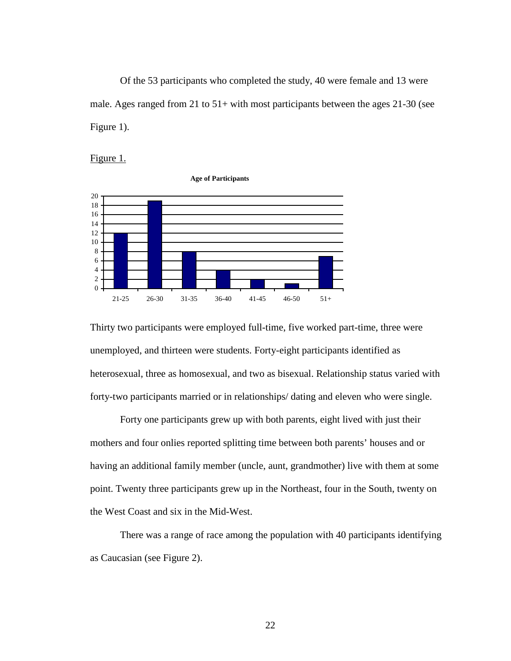Of the 53 participants who completed the study, 40 were female and 13 were male. Ages ranged from 21 to 51+ with most participants between the ages 21-30 (see Figure 1).





Thirty two participants were employed full-time, five worked part-time, three were unemployed, and thirteen were students. Forty-eight participants identified as heterosexual, three as homosexual, and two as bisexual. Relationship status varied with forty-two participants married or in relationships/ dating and eleven who were single.

Forty one participants grew up with both parents, eight lived with just their mothers and four onlies reported splitting time between both parents' houses and or having an additional family member (uncle, aunt, grandmother) live with them at some point. Twenty three participants grew up in the Northeast, four in the South, twenty on the West Coast and six in the Mid-West.

There was a range of race among the population with 40 participants identifying as Caucasian (see Figure 2).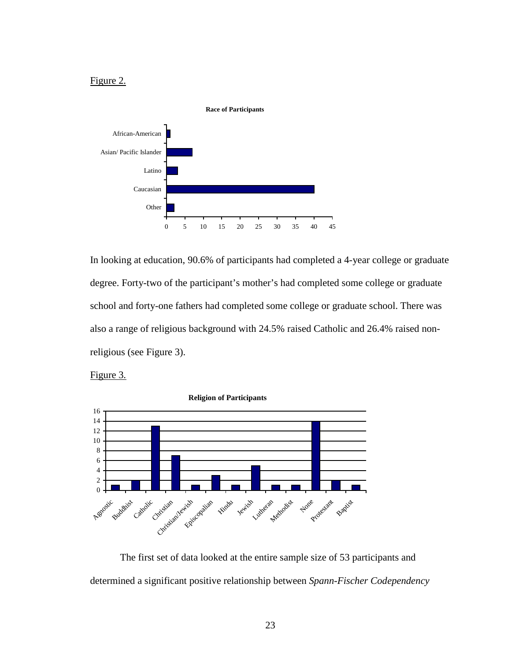## Figure 2.



In looking at education, 90.6% of participants had completed a 4-year college or graduate degree. Forty-two of the participant's mother's had completed some college or graduate school and forty-one fathers had completed some college or graduate school. There was also a range of religious background with 24.5% raised Catholic and 26.4% raised nonreligious (see Figure 3).

Figure 3.



The first set of data looked at the entire sample size of 53 participants and determined a significant positive relationship between *Spann-Fischer Codependency*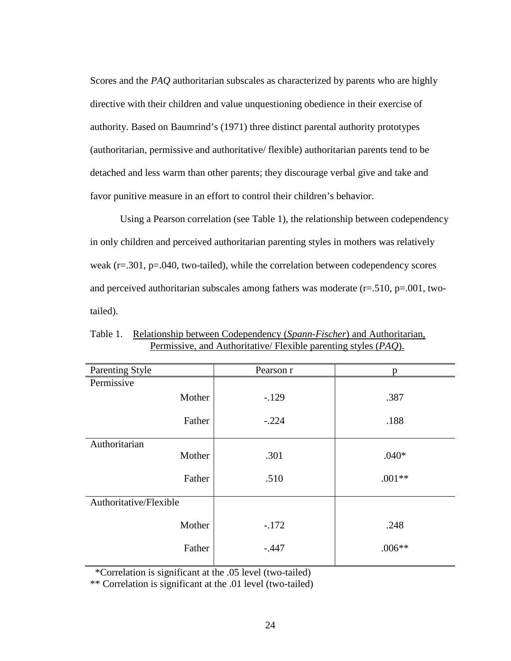Scores and the *PAQ* authoritarian subscales as characterized by parents who are highly directive with their children and value unquestioning obedience in their exercise of authority. Based on Baumrind's (1971) three distinct parental authority prototypes (authoritarian, permissive and authoritative/ flexible) authoritarian parents tend to be detached and less warm than other parents; they discourage verbal give and take and favor punitive measure in an effort to control their children's behavior.

Using a Pearson correlation (see Table 1), the relationship between codependency in only children and perceived authoritarian parenting styles in mothers was relatively weak (r=.301, p=.040, two-tailed), while the correlation between codependency scores and perceived authoritarian subscales among fathers was moderate  $(r=.510, p=.001, two$ tailed).

| Parenting Style        | Pearson r | n        |
|------------------------|-----------|----------|
| Permissive             |           |          |
| Mother                 | $-.129$   | .387     |
| Father                 | $-.224$   | .188     |
| Authoritarian          |           |          |
| Mother                 | .301      | $.040*$  |
| Father                 | .510      | $.001**$ |
| Authoritative/Flexible |           |          |
| Mother                 | $-.172$   | .248     |
| Father                 | $-.447$   | $.006**$ |
|                        |           |          |

Table 1. Relationship between Codependency (*Spann-Fischer*) and Authoritarian, Permissive, and Authoritative/ Flexible parenting styles (*PAQ*).

\*Correlation is significant at the .05 level (two-tailed)

\*\* Correlation is significant at the .01 level (two-tailed)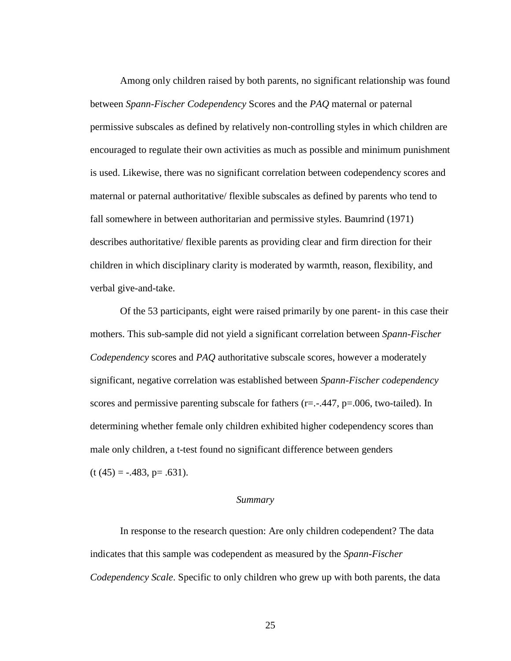Among only children raised by both parents, no significant relationship was found between *Spann-Fischer Codependency* Scores and the *PAQ* maternal or paternal permissive subscales as defined by relatively non-controlling styles in which children are encouraged to regulate their own activities as much as possible and minimum punishment is used. Likewise, there was no significant correlation between codependency scores and maternal or paternal authoritative/ flexible subscales as defined by parents who tend to fall somewhere in between authoritarian and permissive styles. Baumrind (1971) describes authoritative/ flexible parents as providing clear and firm direction for their children in which disciplinary clarity is moderated by warmth, reason, flexibility, and verbal give-and-take.

Of the 53 participants, eight were raised primarily by one parent- in this case their mothers. This sub-sample did not yield a significant correlation between *Spann-Fischer Codependency* scores and *PAQ* authoritative subscale scores, however a moderately significant, negative correlation was established between *Spann-Fischer codependency* scores and permissive parenting subscale for fathers  $(r=-.447, p=.006, two-tailed)$ . In determining whether female only children exhibited higher codependency scores than male only children, a t-test found no significant difference between genders  $(t (45) = -.483, p = .631).$ 

#### *Summary*

In response to the research question: Are only children codependent? The data indicates that this sample was codependent as measured by the *Spann-Fischer Codependency Scale*. Specific to only children who grew up with both parents, the data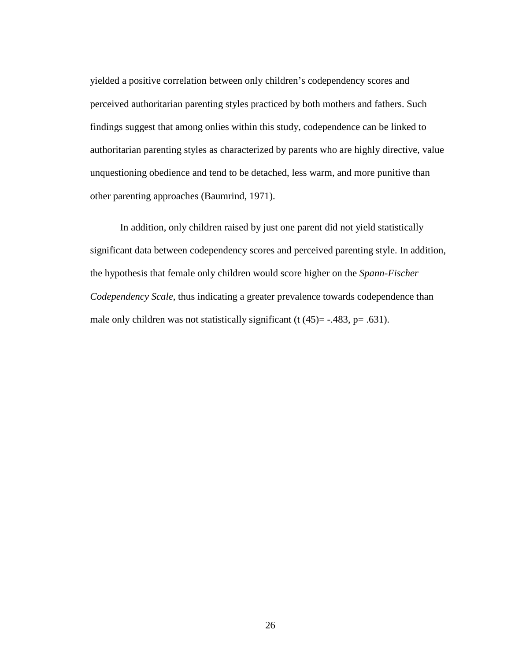yielded a positive correlation between only children's codependency scores and perceived authoritarian parenting styles practiced by both mothers and fathers. Such findings suggest that among onlies within this study, codependence can be linked to authoritarian parenting styles as characterized by parents who are highly directive, value unquestioning obedience and tend to be detached, less warm, and more punitive than other parenting approaches (Baumrind, 1971).

In addition, only children raised by just one parent did not yield statistically significant data between codependency scores and perceived parenting style. In addition, the hypothesis that female only children would score higher on the *Spann-Fischer Codependency Scale*, thus indicating a greater prevalence towards codependence than male only children was not statistically significant (t  $(45)$ = -.483, p= .631).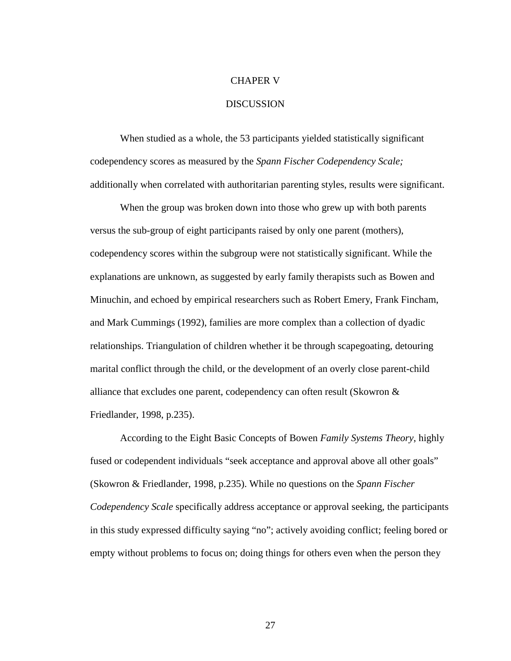#### CHAPER V

#### **DISCUSSION**

When studied as a whole, the 53 participants yielded statistically significant codependency scores as measured by the *Spann Fischer Codependency Scale;*  additionally when correlated with authoritarian parenting styles, results were significant.

When the group was broken down into those who grew up with both parents versus the sub-group of eight participants raised by only one parent (mothers), codependency scores within the subgroup were not statistically significant. While the explanations are unknown, as suggested by early family therapists such as Bowen and Minuchin, and echoed by empirical researchers such as Robert Emery, Frank Fincham, and Mark Cummings (1992), families are more complex than a collection of dyadic relationships. Triangulation of children whether it be through scapegoating, detouring marital conflict through the child, or the development of an overly close parent-child alliance that excludes one parent, codependency can often result (Skowron & Friedlander, 1998, p.235).

According to the Eight Basic Concepts of Bowen *Family Systems Theory*, highly fused or codependent individuals "seek acceptance and approval above all other goals" (Skowron & Friedlander, 1998, p.235). While no questions on the *Spann Fischer Codependency Scale* specifically address acceptance or approval seeking, the participants in this study expressed difficulty saying "no"; actively avoiding conflict; feeling bored or empty without problems to focus on; doing things for others even when the person they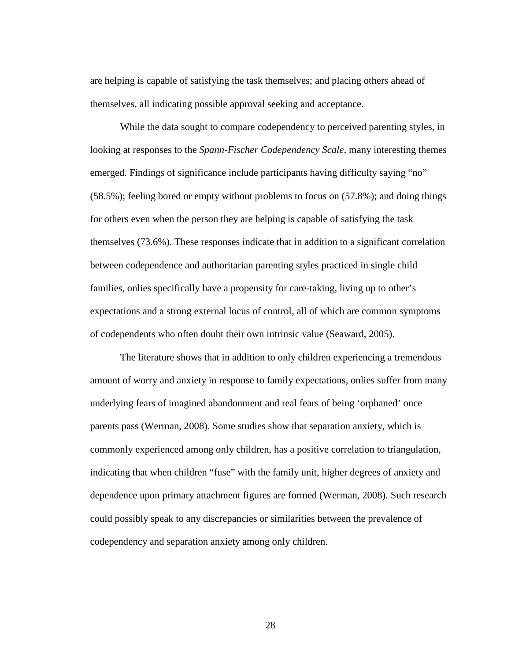are helping is capable of satisfying the task themselves; and placing others ahead of themselves, all indicating possible approval seeking and acceptance.

While the data sought to compare codependency to perceived parenting styles, in looking at responses to the *Spann-Fischer Codependency Scale,* many interesting themes emerged. Findings of significance include participants having difficulty saying "no" (58.5%); feeling bored or empty without problems to focus on (57.8%); and doing things for others even when the person they are helping is capable of satisfying the task themselves (73.6%). These responses indicate that in addition to a significant correlation between codependence and authoritarian parenting styles practiced in single child families, onlies specifically have a propensity for care-taking, living up to other's expectations and a strong external locus of control, all of which are common symptoms of codependents who often doubt their own intrinsic value (Seaward, 2005).

The literature shows that in addition to only children experiencing a tremendous amount of worry and anxiety in response to family expectations, onlies suffer from many underlying fears of imagined abandonment and real fears of being 'orphaned' once parents pass (Werman, 2008). Some studies show that separation anxiety, which is commonly experienced among only children, has a positive correlation to triangulation, indicating that when children "fuse" with the family unit, higher degrees of anxiety and dependence upon primary attachment figures are formed (Werman, 2008). Such research could possibly speak to any discrepancies or similarities between the prevalence of codependency and separation anxiety among only children.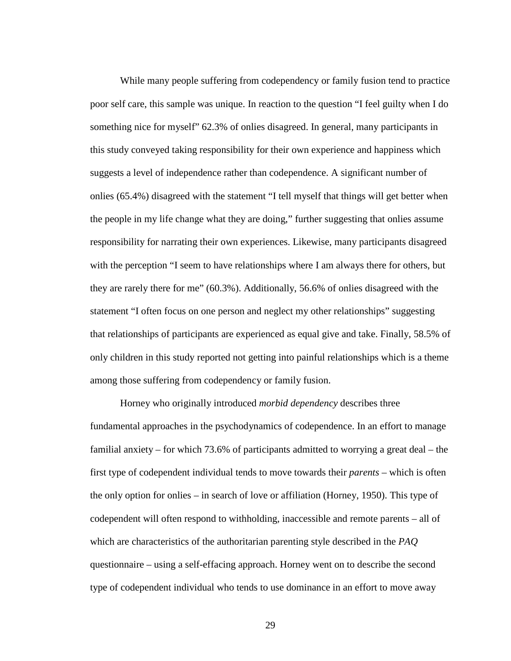While many people suffering from codependency or family fusion tend to practice poor self care, this sample was unique. In reaction to the question "I feel guilty when I do something nice for myself" 62.3% of onlies disagreed. In general, many participants in this study conveyed taking responsibility for their own experience and happiness which suggests a level of independence rather than codependence. A significant number of onlies (65.4%) disagreed with the statement "I tell myself that things will get better when the people in my life change what they are doing," further suggesting that onlies assume responsibility for narrating their own experiences. Likewise, many participants disagreed with the perception "I seem to have relationships where I am always there for others, but they are rarely there for me" (60.3%). Additionally, 56.6% of onlies disagreed with the statement "I often focus on one person and neglect my other relationships" suggesting that relationships of participants are experienced as equal give and take. Finally, 58.5% of only children in this study reported not getting into painful relationships which is a theme among those suffering from codependency or family fusion.

Horney who originally introduced *morbid dependency* describes three fundamental approaches in the psychodynamics of codependence. In an effort to manage familial anxiety – for which 73.6% of participants admitted to worrying a great deal – the first type of codependent individual tends to move towards their *parents* – which is often the only option for onlies – in search of love or affiliation (Horney, 1950). This type of codependent will often respond to withholding, inaccessible and remote parents – all of which are characteristics of the authoritarian parenting style described in the *PAQ*  questionnaire – using a self-effacing approach. Horney went on to describe the second type of codependent individual who tends to use dominance in an effort to move away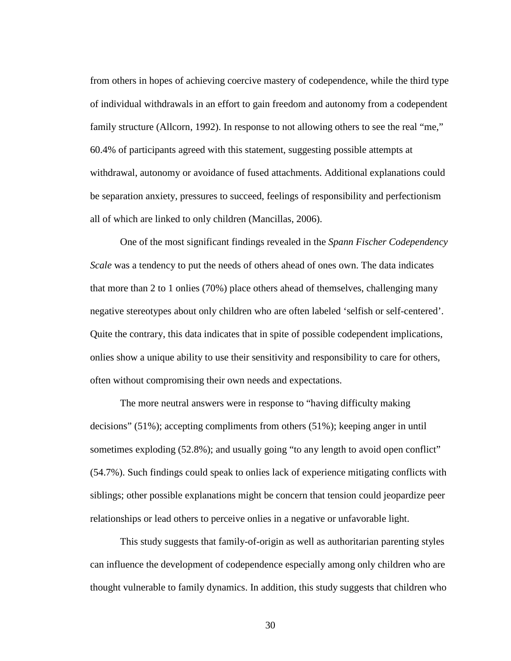from others in hopes of achieving coercive mastery of codependence, while the third type of individual withdrawals in an effort to gain freedom and autonomy from a codependent family structure (Allcorn, 1992). In response to not allowing others to see the real "me," 60.4% of participants agreed with this statement, suggesting possible attempts at withdrawal, autonomy or avoidance of fused attachments. Additional explanations could be separation anxiety, pressures to succeed, feelings of responsibility and perfectionism all of which are linked to only children ( Mancillas, 2006).

One of the most significant findings revealed in the *Spann Fischer Codependency Scale* was a tendency to put the needs of others ahead of ones own. The data indicates that more than 2 to 1 onlies (70%) place others ahead of themselves, challenging many negative stereotypes about only children who are often labeled 'selfish or self-centered'. Quite the contrary, this data indicates that in spite of possible codependent implications, onlies show a unique ability to use their sensitivity and responsibility to care for others, often without compromising their own needs and expectations.

The more neutral answers were in response to "having difficulty making decisions" (51%); accepting compliments from others (51%); keeping anger in until sometimes exploding (52.8%); and usually going "to any length to avoid open conflict" (54.7%). Such findings could speak to onlies lack of experience mitigating conflicts with siblings; other possible explanations might be concern that tension could jeopardize peer relationships or lead others to perceive onlies in a negative or unfavorable light.

This study suggests that family-of-origin as well as authoritarian parenting styles can influence the development of codependence especially among only children who are thought vulnerable to family dynamics. In addition, this study suggests that children who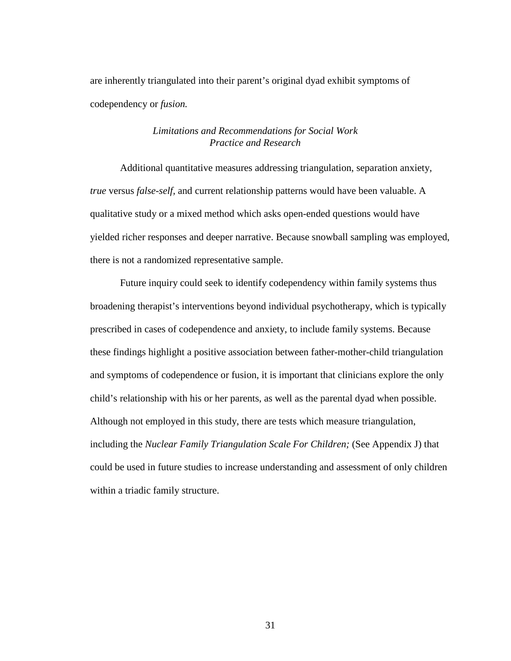are inherently triangulated into their parent's original dyad exhibit symptoms of codependency or *fusion.*

#### *Limitations and Recommendations for Social Work Practice and Research*

Additional quantitative measures addressing triangulation, separation anxiety, *true* versus *false-self,* and current relationship patterns would have been valuable. A qualitative study or a mixed method which asks open-ended questions would have yielded richer responses and deeper narrative. Because snowball sampling was employed, there is not a randomized representative sample.

Future inquiry could seek to identify codependency within family systems thus broadening therapist's interventions beyond individual psychotherapy, which is typically prescribed in cases of codependence and anxiety, to include family systems. Because these findings highlight a positive association between father-mother-child triangulation and symptoms of codependence or fusion, it is important that clinicians explore the only child's relationship with his or her parents, as well as the parental dyad when possible. Although not employed in this study, there are tests which measure triangulation, including the *Nuclear Family Triangulation Scale For Children;* (See Appendix J) that could be used in future studies to increase understanding and assessment of only children within a triadic family structure.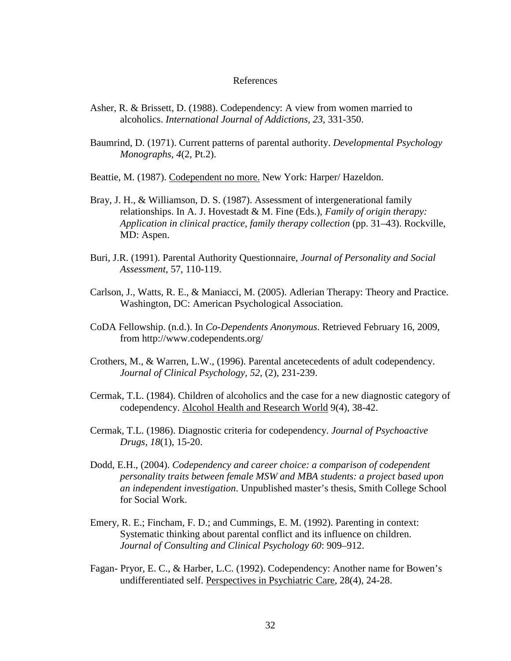#### References

- Asher, R. & Brissett, D. (1988). Codependency: A view from women married to alcoholics. *International Journal of Addictions, 23,* 331-350.
- Baumrind, D. (1971). Current patterns of parental authority. *Developmental Psychology Monographs, 4*(2, Pt.2).
- Beattie, M. (1987). Codependent no more. New York: Harper/ Hazeldon.
- Bray, J. H., & Williamson, D. S. (1987). Assessment of intergenerational family relationships. In A. J. Hovestadt & M. Fine (Eds.), *Family of origin therapy: Application in clinical practice, family therapy collection* (pp. 31–43). Rockville, MD: Aspen.
- Buri, J.R. (1991). Parental Authority Questionnaire, *Journal of Personality and Social Assessment,* 57, 110-119.
- Carlson, J., Watts, R. E., & Maniacci, M. (2005). Adlerian Therapy: Theory and Practice. Washington, DC: American Psychological Association.
- CoDA Fellowship. (n.d.). In *Co-Dependents Anonymous*. Retrieved February 16, 2009, from http://www.codependents.org/
- Crothers, M., & Warren, L.W., (1996). Parental ancetecedents of adult codependency. *Journal of Clinical Psychology, 52,* (2), 231-239.
- Cermak, T.L. (1984). Children of alcoholics and the case for a new diagnostic category of codependency. Alcohol Health and Research World 9(4), 38-42.
- Cermak, T.L. (1986). Diagnostic criteria for codependency. *Journal of Psychoactive Drugs, 18*(1), 15-20.
- Dodd, E.H., (2004). *Codependency and career choice: a comparison of codependent personality traits between female MSW and MBA students: a project based upon an independent investigation*. Unpublished master's thesis, Smith College School for Social Work.
- Emery, R. E.; Fincham, F. D.; and Cummings, E. M. (1992). Parenting in context: Systematic thinking about parental conflict and its influence on children. *Journal of Consulting and Clinical Psychology 60*: 909–912.
- Fagan- Pryor, E. C., & Harber, L.C. (1992). Codependency: Another name for Bowen's undifferentiated self. Perspectives in Psychiatric Care, 28(4), 24-28.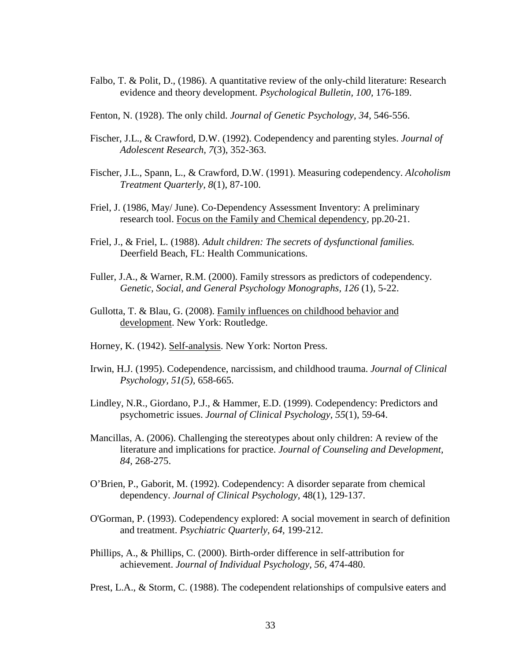- Falbo, T. & Polit, D., (1986). A quantitative review of the only-child literature: Research evidence and theory development. *Psychological Bulletin, 100,* 176-189.
- Fenton, N. (1928). The only child. *Journal of Genetic Psychology, 34,* 546-556.
- Fischer, J.L., & Crawford, D.W. (1992). Codependency and parenting styles. *Journal of Adolescent Research, 7*(3), 352-363.
- Fischer, J.L., Spann, L., & Crawford, D.W. (1991). Measuring codependency. *Alcoholism Treatment Quarterly, 8*(1), 87-100.
- Friel, J. (1986, May/ June). Co-Dependency Assessment Inventory: A preliminary research tool. Focus on the Family and Chemical dependency, pp.20-21.
- Friel, J., & Friel, L. (1988). *Adult children: The secrets of dysfunctional families.*  Deerfield Beach, FL: Health Communications.
- Fuller, J.A., & Warner, R.M. (2000). Family stressors as predictors of codependency. *Genetic, Social, and General Psychology Monographs, 126* (1), 5-22.
- Gullotta, T. & Blau, G. (2008). Family influences on childhood behavior and development. New York: Routledge.
- Horney, K. (1942). Self-analysis. New York: Norton Press.
- Irwin, H.J. (1995). Codependence, narcissism, and childhood trauma. *Journal of Clinical Psychology, 51(5),* 658-665.
- Lindley, N.R., Giordano, P.J., & Hammer, E.D. (1999). Codependency: Predictors and psychometric issues. *Journal of Clinical Psychology, 55*(1), 59-64.
- Mancillas, A. (2006). Challenging the stereotypes about only children: A review of the literature and implications for practice. *Journal of Counseling and Development, 84,* 268-275.
- O'Brien, P., Gaborit, M. (1992). Codependency: A disorder separate from chemical dependency. *Journal of Clinical Psychology,* 48(1), 129-137.
- O'Gorman, P. (1993). Codependency explored: A social movement in search of definition and treatment. *Psychiatric Quarterly, 64,* 199-212.
- Phillips, A., & Phillips, C. (2000). Birth-order difference in self-attribution for achievement. *Journal of Individual Psychology, 56,* 474-480.

Prest, L.A., & Storm, C. (1988). The codependent relationships of compulsive eaters and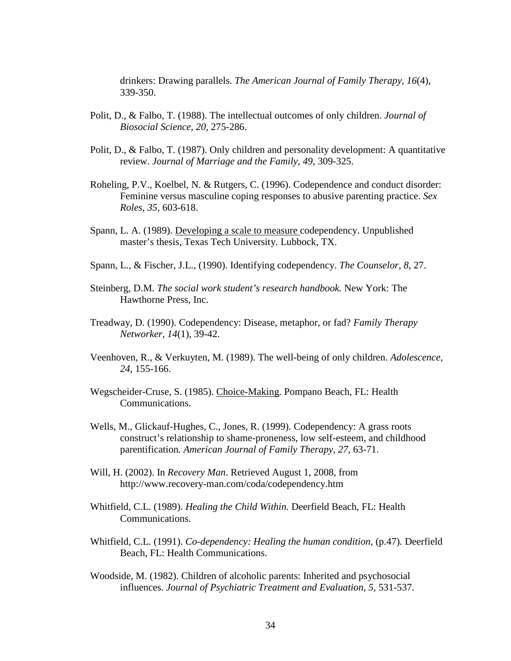drinkers: Drawing parallels. *The American Journal of Family Therapy, 16*(4), 339-350.

- Polit, D., & Falbo, T. (1988). The intellectual outcomes of only children. *Journal of Biosocial Science, 20,* 275-286.
- Polit, D., & Falbo, T. (1987). Only children and personality development: A quantitative review. *Journal of Marriage and the Family, 49,* 309-325.
- Roheling, P.V., Koelbel, N. & Rutgers, C. (1996). Codependence and conduct disorder: Feminine versus masculine coping responses to abusive parenting practice. *Sex Roles, 35,* 603-618.
- Spann, L. A. (1989). Developing a scale to measure codependency. Unpublished master's thesis, Texas Tech University. Lubbock, TX.
- Spann, L., & Fischer, J.L., (1990). Identifying codependency. *The Counselor, 8,* 27.
- Steinberg, D.M. *The social work student's research handbook.* New York: The Hawthorne Press, Inc.
- Treadway, D. (1990). Codependency: Disease, metaphor, or fad? *Family Therapy Networker, 14*(1), 39-42.
- Veenhoven, R., & Verkuyten, M. (1989). The well-being of only children. *Adolescence, 24,* 155-166.
- Wegscheider-Cruse, S. (1985). Choice-Making. Pompano Beach, FL: Health Communications.
- Wells, M., Glickauf-Hughes, C., Jones, R. (1999). Codependency: A grass roots construct's relationship to shame-proneness, low self-esteem, and childhood parentification*. American Journal of Family Therapy, 27*, 63-71.
- Will, H. (2002). In *Recovery Man*. Retrieved August 1, 2008, from http://www.recovery-man.com/coda/codependency.htm
- Whitfield, C.L. (1989). *Healing the Child Within.* Deerfield Beach, FL: Health Communications.
- Whitfield, C.L. (1991). *Co-dependency: Healing the human condition*, (p.47)*.* Deerfield Beach, FL: Health Communications.
- Woodside, M. (1982). Children of alcoholic parents: Inherited and psychosocial influences. *Journal of Psychiatric Treatment and Evaluation, 5,* 531-537.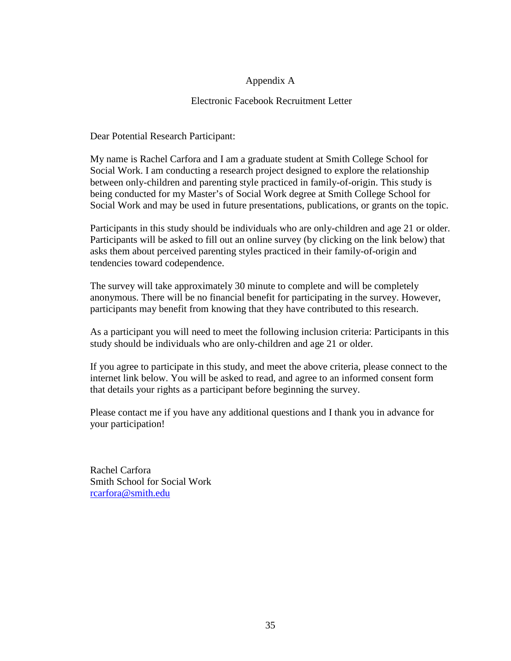## Appendix A

## Electronic Facebook Recruitment Letter

Dear Potential Research Participant:

My name is Rachel Carfora and I am a graduate student at Smith College School for Social Work. I am conducting a research project designed to explore the relationship between only-children and parenting style practiced in family-of-origin. This study is being conducted for my Master's of Social Work degree at Smith College School for Social Work and may be used in future presentations, publications, or grants on the topic.

Participants in this study should be individuals who are only-children and age 21 or older. Participants will be asked to fill out an online survey (by clicking on the link below) that asks them about perceived parenting styles practiced in their family-of-origin and tendencies toward codependence.

The survey will take approximately 30 minute to complete and will be completely anonymous. There will be no financial benefit for participating in the survey. However, participants may benefit from knowing that they have contributed to this research.

As a participant you will need to meet the following inclusion criteria: Participants in this study should be individuals who are only-children and age 21 or older.

If you agree to participate in this study, and meet the above criteria, please connect to the internet link below. You will be asked to read, and agree to an informed consent form that details your rights as a participant before beginning the survey.

Please contact me if you have any additional questions and I thank you in advance for your participation!

Rachel Carfora Smith School for Social Work [rcarfora@smith.edu](mailto:rcarfora@smith.edu)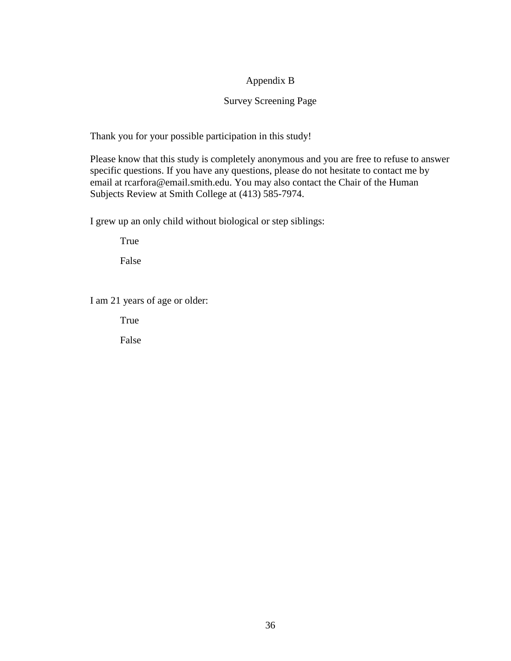## Appendix B

## Survey Screening Page

Thank you for your possible participation in this study!

Please know that this study is completely anonymous and you are free to refuse to answer specific questions. If you have any questions, please do not hesitate to contact me by email at rcarfora@email.smith.edu. You may also contact the Chair of the Human Subjects Review at Smith College at (413) 585-7974.

I grew up an only child without biological or step siblings:

True

False

I am 21 years of age or older:

True

False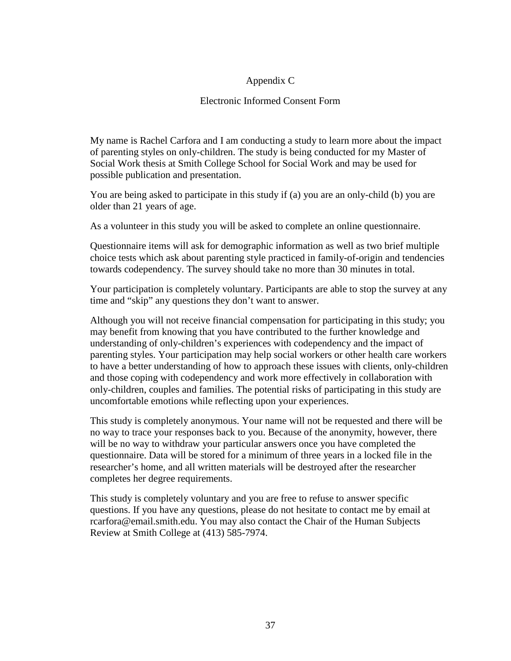## Appendix C

## Electronic Informed Consent Form

My name is Rachel Carfora and I am conducting a study to learn more about the impact of parenting styles on only-children. The study is being conducted for my Master of Social Work thesis at Smith College School for Social Work and may be used for possible publication and presentation.

You are being asked to participate in this study if (a) you are an only-child (b) you are older than 21 years of age.

As a volunteer in this study you will be asked to complete an online questionnaire.

Questionnaire items will ask for demographic information as well as two brief multiple choice tests which ask about parenting style practiced in family-of-origin and tendencies towards codependency. The survey should take no more than 30 minutes in total.

Your participation is completely voluntary. Participants are able to stop the survey at any time and "skip" any questions they don't want to answer.

Although you will not receive financial compensation for participating in this study; you may benefit from knowing that you have contributed to the further knowledge and understanding of only-children's experiences with codependency and the impact of parenting styles. Your participation may help social workers or other health care workers to have a better understanding of how to approach these issues with clients, only-children and those coping with codependency and work more effectively in collaboration with only-children, couples and families. The potential risks of participating in this study are uncomfortable emotions while reflecting upon your experiences.

This study is completely anonymous. Your name will not be requested and there will be no way to trace your responses back to you. Because of the anonymity, however, there will be no way to withdraw your particular answers once you have completed the questionnaire. Data will be stored for a minimum of three years in a locked file in the researcher's home, and all written materials will be destroyed after the researcher completes her degree requirements.

This study is completely voluntary and you are free to refuse to answer specific questions. If you have any questions, please do not hesitate to contact me by email at rcarfora@email.smith.edu. You may also contact the Chair of the Human Subjects Review at Smith College at (413) 585-7974.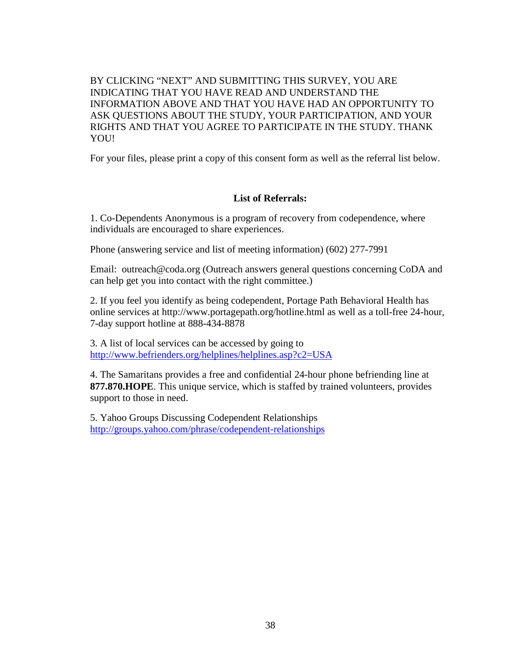BY CLICKING "NEXT" AND SUBMITTING THIS SURVEY, YOU ARE INDICATING THAT YOU HAVE READ AND UNDERSTAND THE INFORMATION ABOVE AND THAT YOU HAVE HAD AN OPPORTUNITY TO ASK QUESTIONS ABOUT THE STUDY, YOUR PARTICIPATION, AND YOUR RIGHTS AND THAT YOU AGREE TO PARTICIPATE IN THE STUDY. THANK YOU!

For your files, please print a copy of this consent form as well as the referral list below.

### **List of Referrals:**

1. Co-Dependents Anonymous is a program of recovery from codependence, where individuals are encouraged to share experiences.

Phone (answering service and list of meeting information) (602) 277-7991

Email: outreach@coda.org (Outreach answers general questions concerning CoDA and can help get you into contact with the right committee.)

2. If you feel you identify as being codependent, Portage Path Behavioral Health has online services at http://www.portagepath.org/hotline.html as well as a toll-free 24-hour, 7-day support hotline at 888-434-8878

3. A list of local services can be accessed by going to <http://www.befrienders.org/helplines/helplines.asp?c2=USA>

4. The Samaritans provides a free and confidential 24-hour phone befriending line at **877.870.HOPE** . This unique service, which is staffed by trained volunteers, provides support to those in need.

5. Yahoo Groups Discussing Codependent Relationships <http://groups.yahoo.com/phrase/codependent-relationships>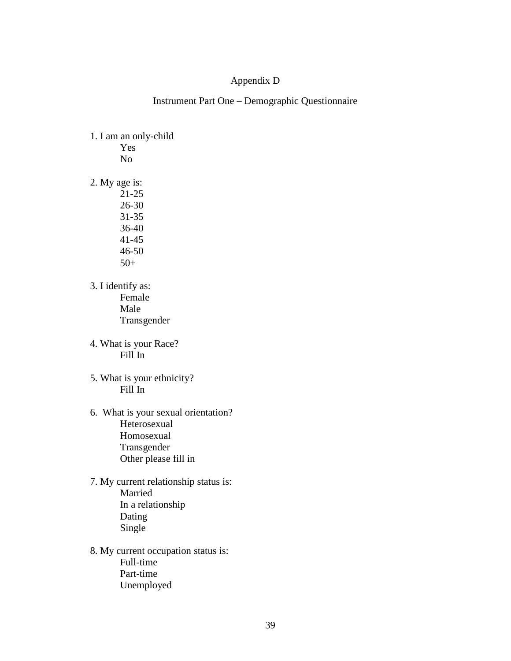## Appendix D

Instrument Part One – Demographic Questionnaire

1. I am an only-child Yes

No

2. My age is:

21-25 26-30 31-35 36-40 41-45 46-50 50+

- 3. I identify as: Female Male Transgender
- 4. What is your Race? Fill In
- 5. What is your ethnicity? Fill In
- 6. What is your sexual orientation? Heterosexual Homosexual Transgender Other please fill in
- 7. My current relationship status is: Married In a relationship Dating Single
- 8. My current occupation status is: Full-time Part-time Unemployed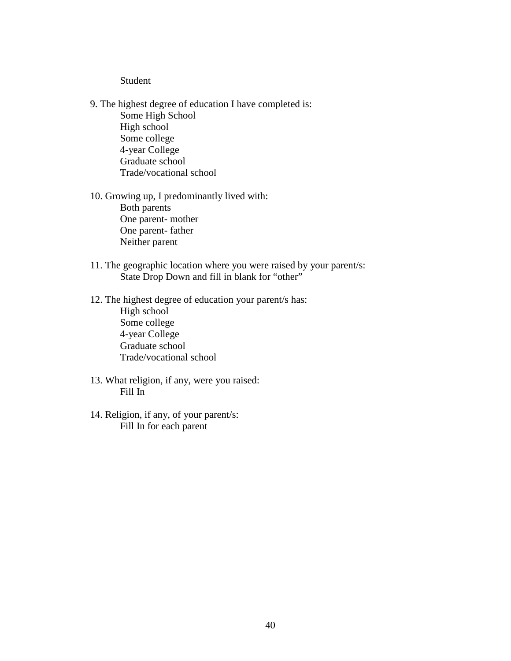#### Student

- 9. The highest degree of education I have completed is: Some High School High school Some college
	- 4-year College Graduate school Trade/vocational school
- 10. Growing up, I predominantly lived with: Both parents One parent- mother One parent- father Neither parent
- 11. The geographic location where you were raised by your parent/s: State Drop Down and fill in blank for "other"
- 12. The highest degree of education your parent/s has: High school Some college 4-year College Graduate school Trade/vocational school
- 13. What religion, if any, were you raised: Fill In
- 14. Religion, if any, of your parent/s: Fill In for each parent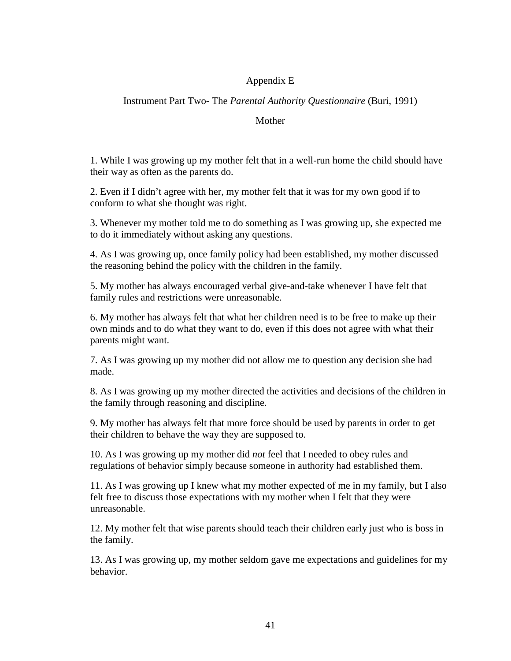## Appendix E

## Instrument Part Two- The *Parental Authority Questionnaire* (Buri, 1991)

#### Mother

1. While I was growing up my mother felt that in a well-run home the child should have their way as often as the parents do.

2. Even if I didn't agree with her, my mother felt that it was for my own good if to conform to what she thought was right.

3. Whenever my mother told me to do something as I was growing up, she expected me to do it immediately without asking any questions.

4. As I was growing up, once family policy had been established, my mother discussed the reasoning behind the policy with the children in the family.

5. My mother has always encouraged verbal give-and-take whenever I have felt that family rules and restrictions were unreasonable.

6. My mother has always felt that what her children need is to be free to make up their own minds and to do what they want to do, even if this does not agree with what their parents might want.

7. As I was growing up my mother did not allow me to question any decision she had made.

8. As I was growing up my mother directed the activities and decisions of the children in the family through reasoning and discipline.

9. My mother has always felt that more force should be used by parents in order to get their children to behave the way they are supposed to.

10. As I was growing up my mother did *not* feel that I needed to obey rules and regulations of behavior simply because someone in authority had established them.

11. As I was growing up I knew what my mother expected of me in my family, but I also felt free to discuss those expectations with my mother when I felt that they were unreasonable.

12. My mother felt that wise parents should teach their children early just who is boss in the family.

13. As I was growing up, my mother seldom gave me expectations and guidelines for my behavior.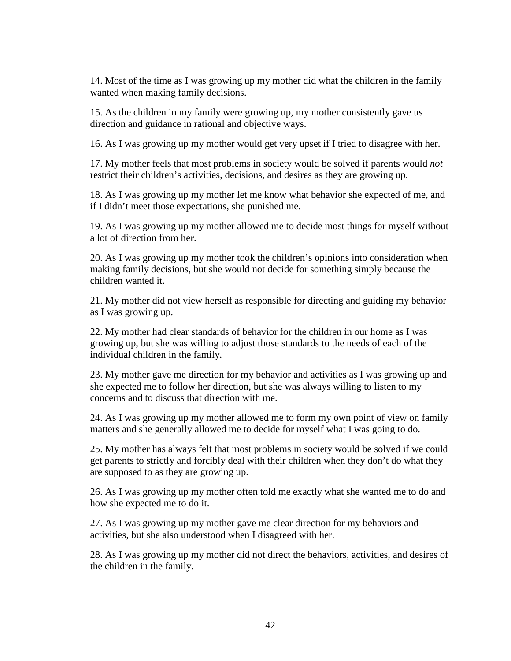14. Most of the time as I was growing up my mother did what the children in the family wanted when making family decisions.

15. As the children in my family were growing up, my mother consistently gave us direction and guidance in rational and objective ways.

16. As I was growing up my mother would get very upset if I tried to disagree with her.

17. My mother feels that most problems in society would be solved if parents would *not*  restrict their children's activities, decisions, and desires as they are growing up.

18. As I was growing up my mother let me know what behavior she expected of me, and if I didn't meet those expectations, she punished me.

19. As I was growing up my mother allowed me to decide most things for myself without a lot of direction from her.

20. As I was growing up my mother took the children's opinions into consideration when making family decisions, but she would not decide for something simply because the children wanted it.

21. My mother did not view herself as responsible for directing and guiding my behavior as I was growing up.

22. My mother had clear standards of behavior for the children in our home as I was growing up, but she was willing to adjust those standards to the needs of each of the individual children in the family.

23. My mother gave me direction for my behavior and activities as I was growing up and she expected me to follow her direction, but she was always willing to listen to my concerns and to discuss that direction with me.

24. As I was growing up my mother allowed me to form my own point of view on family matters and she generally allowed me to decide for myself what I was going to do.

25. My mother has always felt that most problems in society would be solved if we could get parents to strictly and forcibly deal with their children when they don't do what they are supposed to as they are growing up.

26. As I was growing up my mother often told me exactly what she wanted me to do and how she expected me to do it.

27. As I was growing up my mother gave me clear direction for my behaviors and activities, but she also understood when I disagreed with her.

28. As I was growing up my mother did not direct the behaviors, activities, and desires of the children in the family.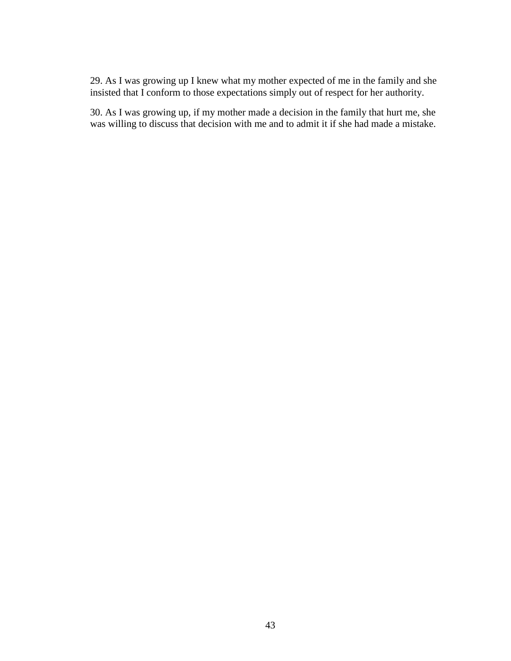29. As I was growing up I knew what my mother expected of me in the family and she insisted that I conform to those expectations simply out of respect for her authority.

30. As I was growing up, if my mother made a decision in the family that hurt me, she was willing to discuss that decision with me and to admit it if she had made a mistake.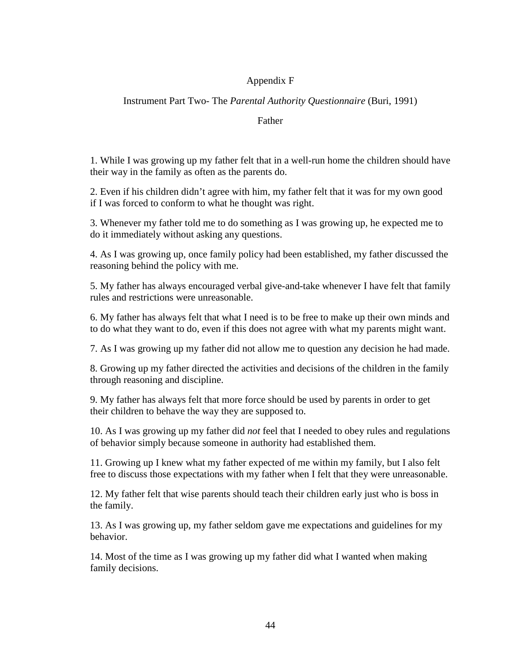## Appendix F

## Instrument Part Two- The *Parental Authority Questionnaire* (Buri, 1991)

#### Father

1. While I was growing up my father felt that in a well-run home the children should have their way in the family as often as the parents do.

2. Even if his children didn't agree with him, my father felt that it was for my own good if I was forced to conform to what he thought was right.

3. Whenever my father told me to do something as I was growing up, he expected me to do it immediately without asking any questions.

4. As I was growing up, once family policy had been established, my father discussed the reasoning behind the policy with me.

5. My father has always encouraged verbal give-and-take whenever I have felt that family rules and restrictions were unreasonable.

6. My father has always felt that what I need is to be free to make up their own minds and to do what they want to do, even if this does not agree with what my parents might want.

7. As I was growing up my father did not allow me to question any decision he had made.

8. Growing up my father directed the activities and decisions of the children in the family through reasoning and discipline.

9. My father has always felt that more force should be used by parents in order to get their children to behave the way they are supposed to.

10. As I was growing up my father did *not* feel that I needed to obey rules and regulations of behavior simply because someone in authority had established them.

11. Growing up I knew what my father expected of me within my family, but I also felt free to discuss those expectations with my father when I felt that they were unreasonable.

12. My father felt that wise parents should teach their children early just who is boss in the family.

13. As I was growing up, my father seldom gave me expectations and guidelines for my behavior.

14. Most of the time as I was growing up my father did what I wanted when making family decisions.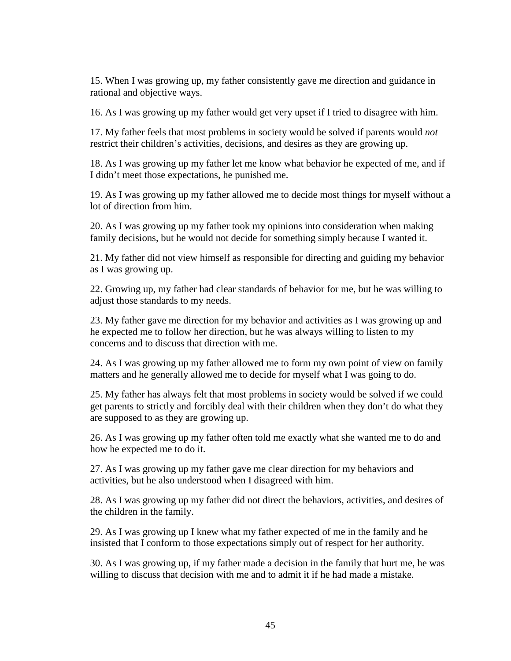15. When I was growing up, my father consistently gave me direction and guidance in rational and objective ways.

16. As I was growing up my father would get very upset if I tried to disagree with him.

17. My father feels that most problems in society would be solved if parents would *not*  restrict their children's activities, decisions, and desires as they are growing up.

18. As I was growing up my father let me know what behavior he expected of me, and if I didn't meet those expectations, he punished me.

19. As I was growing up my father allowed me to decide most things for myself without a lot of direction from him.

20. As I was growing up my father took my opinions into consideration when making family decisions, but he would not decide for something simply because I wanted it.

21. My father did not view himself as responsible for directing and guiding my behavior as I was growing up.

22. Growing up, my father had clear standards of behavior for me, but he was willing to adjust those standards to my needs.

23. My father gave me direction for my behavior and activities as I was growing up and he expected me to follow her direction, but he was always willing to listen to my concerns and to discuss that direction with me.

24. As I was growing up my father allowed me to form my own point of view on family matters and he generally allowed me to decide for myself what I was going to do.

25. My father has always felt that most problems in society would be solved if we could get parents to strictly and forcibly deal with their children when they don't do what they are supposed to as they are growing up.

26. As I was growing up my father often told me exactly what she wanted me to do and how he expected me to do it.

27. As I was growing up my father gave me clear direction for my behaviors and activities, but he also understood when I disagreed with him.

28. As I was growing up my father did not direct the behaviors, activities, and desires of the children in the family.

29. As I was growing up I knew what my father expected of me in the family and he insisted that I conform to those expectations simply out of respect for her authority.

30. As I was growing up, if my father made a decision in the family that hurt me, he was willing to discuss that decision with me and to admit it if he had made a mistake.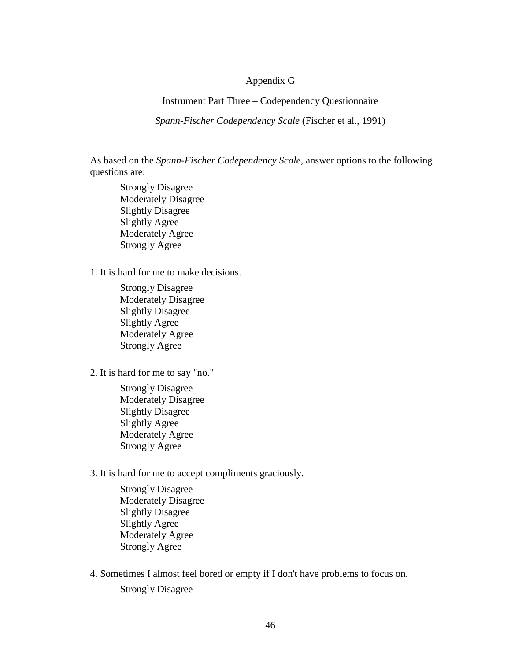#### Appendix G

Instrument Part Three – Codependency Questionnaire

*Spann-Fischer Codependency Scale* (Fischer et al., 1991)

As based on the *Spann-Fischer Codependency Scale*, answer options to the following questions are:

Strongly Disagree Moderately Disagree Slightly Disagree Slightly Agree Moderately Agree Strongly Agree

1. It is hard for me to make decisions.

Strongly Disagree Moderately Disagree Slightly Disagree Slightly Agree Moderately Agree Strongly Agree

2. It is hard for me to say "no."

Strongly Disagree Moderately Disagree Slightly Disagree Slightly Agree Moderately Agree Strongly Agree

3. It is hard for me to accept compliments graciously.

Strongly Disagree Moderately Disagree Slightly Disagree Slightly Agree Moderately Agree Strongly Agree

4. Sometimes I almost feel bored or empty if I don't have problems to focus on. Strongly Disagree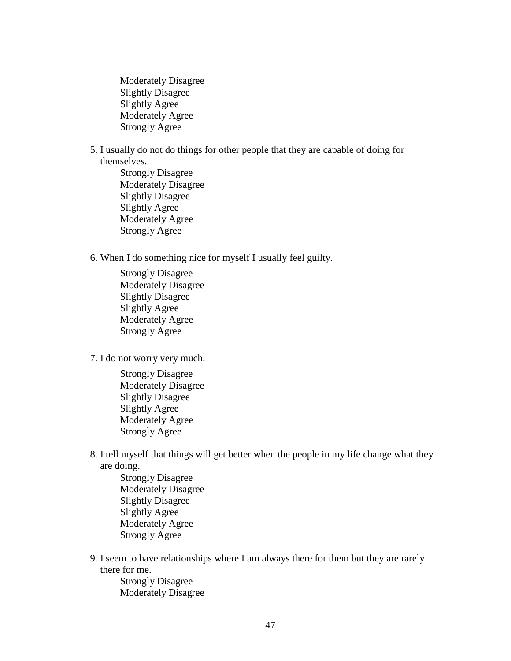Moderately Disagree Slightly Disagree Slightly Agree Moderately Agree Strongly Agree

- 5. I usually do not do things for other people that they are capable of doing for themselves.
	- Strongly Disagree Moderately Disagree Slightly Disagree Slightly Agree Moderately Agree Strongly Agree
- 6. When I do something nice for myself I usually feel guilty.
	- Strongly Disagree Moderately Disagree Slightly Disagree Slightly Agree Moderately Agree Strongly Agree
- 7. I do not worry very much.
	- Strongly Disagree Moderately Disagree Slightly Disagree Slightly Agree Moderately Agree Strongly Agree
- 8. I tell myself that things will get better when the people in my life change what they are doing.
	- Strongly Disagree Moderately Disagree Slightly Disagree Slightly Agree Moderately Agree Strongly Agree
- 9. I seem to have relationships where I am always there for them but they are rarely there for me.
	- Strongly Disagree Moderately Disagree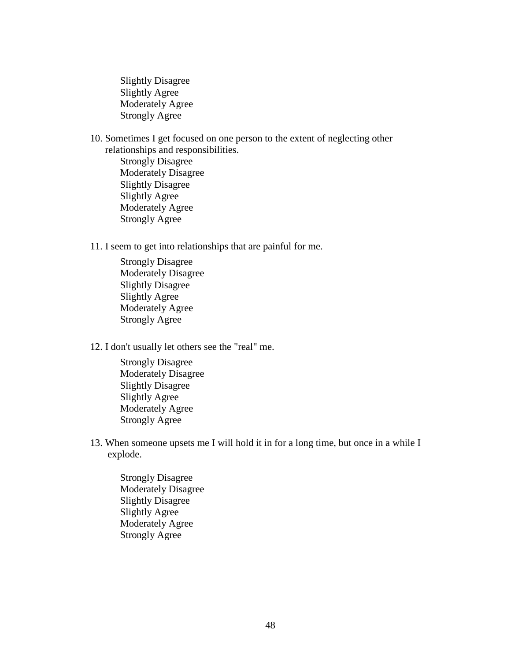Slightly Disagree Slightly Agree Moderately Agree Strongly Agree

10. Sometimes I get focused on one person to the extent of neglecting other relationships and responsibilities. Strongly Disagree Moderately Disagree Slightly Disagree Slightly Agree Moderately Agree

Strongly Agree

11. I seem to get into relationships that are painful for me.

- Strongly Disagree Moderately Disagree Slightly Disagree Slightly Agree Moderately Agree Strongly Agree
- 12. I don't usually let others see the "real" me.
	- Strongly Disagree Moderately Disagree Slightly Disagree Slightly Agree Moderately Agree Strongly Agree
- 13. When someone upsets me I will hold it in for a long time, but once in a while I explode.
	- Strongly Disagree Moderately Disagree Slightly Disagree Slightly Agree Moderately Agree Strongly Agree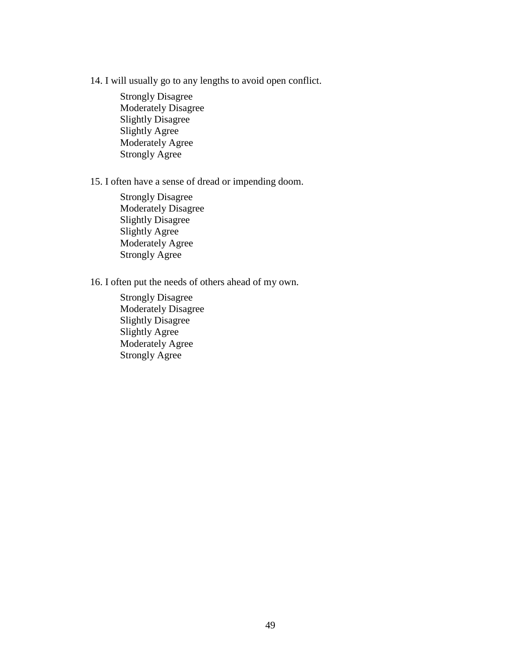14. I will usually go to any lengths to avoid open conflict.

Strongly Disagree Moderately Disagree Slightly Disagree Slightly Agree Moderately Agree Strongly Agree

15. I often have a sense of dread or impending doom.

Strongly Disagree Moderately Disagree Slightly Disagree Slightly Agree Moderately Agree Strongly Agree

16. I often put the needs of others ahead of my own.

Strongly Disagree Moderately Disagree Slightly Disagree Slightly Agree Moderately Agree Strongly Agree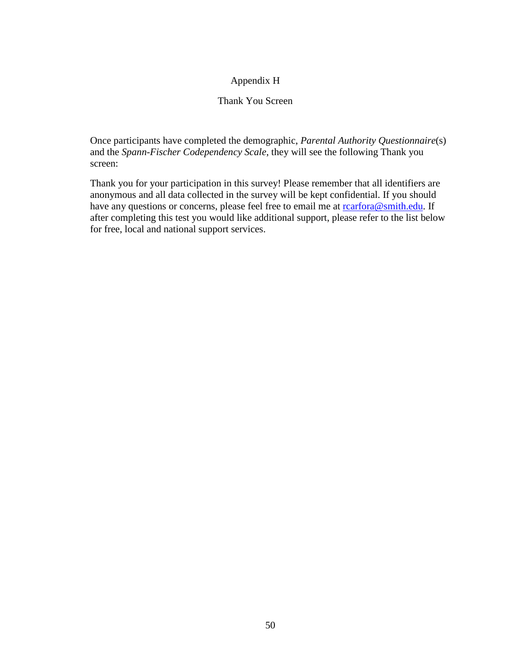## Appendix H

## Thank You Screen

Once participants have completed the demographic, *Parental Authority Questionnaire*(s) and the *Spann-Fischer Codependency Scale*, they will see the following Thank you screen:

Thank you for your participation in this survey! Please remember that all identifiers are anonymous and all data collected in the survey will be kept confidential. If you should have any questions or concerns, please feel free to email me at rearfora@smith.edu. If after completing this test you would like additional support, please refer to the list below for free, local and national support services.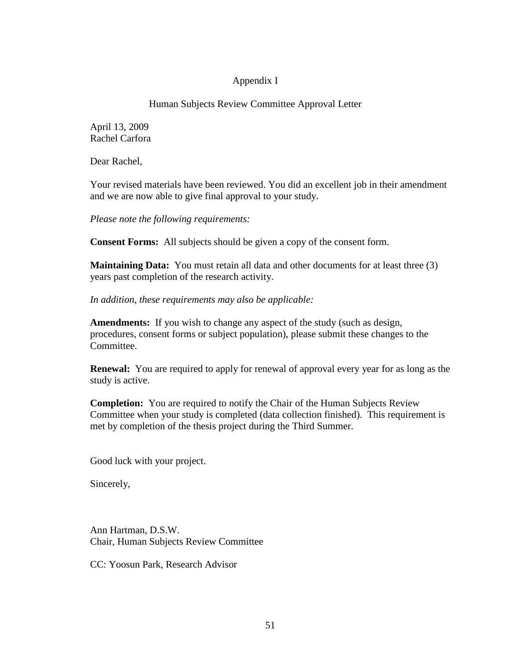## Appendix I

### Human Subjects Review Committee Approval Letter

April 13, 2009 Rachel Carfora

Dear Rachel,

Your revised materials have been reviewed. You did an excellent job in their amendment and we are now able to give final approval to your study.

*Please note the following requirements:*

**Consent Forms:** All subjects should be given a copy of the consent form.

**Maintaining Data:** You must retain all data and other documents for at least three (3) years past completion of the research activity.

*In addition, these requirements may also be applicable:*

**Amendments:** If you wish to change any aspect of the study (such as design, procedures, consent forms or subject population), please submit these changes to the Committee.

**Renewal:** You are required to apply for renewal of approval every year for as long as the study is active.

**Completion:** You are required to notify the Chair of the Human Subjects Review Committee when your study is completed (data collection finished). This requirement is met by completion of the thesis project during the Third Summer.

Good luck with your project.

Sincerely,

Ann Hartman, D.S.W. Chair, Human Subjects Review Committee

CC: Yoosun Park, Research Advisor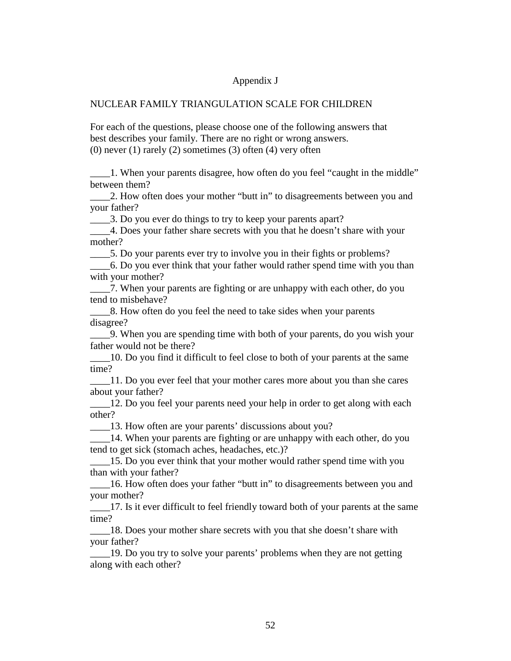#### Appendix J

#### NUCLEAR FAMILY TRIANGULATION SCALE FOR CHILDREN

For each of the questions, please choose one of the following answers that best describes your family. There are no right or wrong answers.  $(0)$  never  $(1)$  rarely  $(2)$  sometimes  $(3)$  often  $(4)$  very often

\_\_\_\_1. When your parents disagree, how often do you feel "caught in the middle" between them?

\_\_\_\_2. How often does your mother "butt in" to disagreements between you and your father?

\_\_\_\_3. Do you ever do things to try to keep your parents apart?

\_\_\_\_4. Does your father share secrets with you that he doesn't share with your mother?

\_\_\_\_5. Do your parents ever try to involve you in their fights or problems?

\_\_\_\_6. Do you ever think that your father would rather spend time with you than with your mother?

\_\_\_\_7. When your parents are fighting or are unhappy with each other, do you tend to misbehave?

\_\_\_\_8. How often do you feel the need to take sides when your parents disagree?

\_\_\_\_9. When you are spending time with both of your parents, do you wish your father would not be there?

\_\_\_\_10. Do you find it difficult to feel close to both of your parents at the same time?

\_\_\_\_11. Do you ever feel that your mother cares more about you than she cares about your father?

\_\_\_\_12. Do you feel your parents need your help in order to get along with each other?

\_\_\_\_13. How often are your parents' discussions about you?

14. When your parents are fighting or are unhappy with each other, do you tend to get sick (stomach aches, headaches, etc.)?

\_\_\_\_15. Do you ever think that your mother would rather spend time with you than with your father?

\_\_\_\_16. How often does your father "butt in" to disagreements between you and your mother?

\_\_\_\_17. Is it ever difficult to feel friendly toward both of your parents at the same time?

\_\_\_\_18. Does your mother share secrets with you that she doesn't share with your father?

\_\_\_\_19. Do you try to solve your parents' problems when they are not getting along with each other?